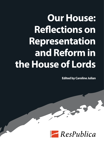# **Our House: Reflections on Representation and Reform in the House of Lords**

**Edited by Caroline Julian**

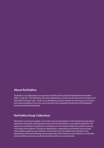### **About ResPublica**

*ResPublica is an independent, non-partisan UK think tank founded by Phillip Blond in November 2009. In July 2011, the ResPublica Trust was established as a not-for-profit entity which oversees all of ResPublica's domestic work. We focus on developing practical solutions to enduring socio-economic and cultural problems of our time, such as poverty, asset inequality, family and social breakdown, and environmental degradation.*

### **ResPublica Essay Collections**

*ResPublica's work draws together some of the most exciting thinkers in the UK and internationally to explore the new polices and approaches that will create and deliver a new political settlement. Our network of contributors who advise on and inform our work include leaders from politics, business, civil society and academia. Through our publications, compendiums and website we encourage other thinkers, politicians and members of the public to join the debate and contribute to the development of forward-thinking and innovative ideas. We intend our essay collections to stimulate balanced debate around issues that are fundamental to our core principles.*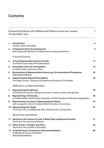### **Contents**

| Foreword by Professor John Milbank and Professor Simon Lee, Trustees,<br><b>The ResPublica Trust</b> |                                                                                                                                    | 1  |
|------------------------------------------------------------------------------------------------------|------------------------------------------------------------------------------------------------------------------------------------|----|
|                                                                                                      | 1. Introduction<br>Caroline Julian, ResPublica                                                                                     | 4  |
| 2.                                                                                                   | A Statement from the Government<br>Mark Harper MP, Minister for Political and Constitutional Reform                                | 9  |
|                                                                                                      | <b>A Social Purpose</b>                                                                                                            |    |
| 3.                                                                                                   | A Truly Representative House of Lords<br>The Rt Hon Frank Field, MP for Birkenhead                                                 | 13 |
| 4.                                                                                                   | <b>Association and Civic Participation</b><br>Dr Adrian Pabst, University of Kent                                                  | 16 |
| 5.                                                                                                   | Bicameralism & Representative Democracy: An International Perspective<br>Rafal Heydel-Mankoo                                       | 23 |
| 6.                                                                                                   | <b>Representation Beyond Party Politics</b><br>Prof Roger Scruton, University of Oxford and University of St Andrews               | 30 |
|                                                                                                      | <b>Reflections on Representation</b>                                                                                               |    |
| 7.                                                                                                   | <b>Representing the Spiritual</b><br>The Rt Revd Tim Stevens, Bishop of Leicester, Convenor of the Lords Spiritual                 | 34 |
| 8.                                                                                                   | <b>Representing Civil Society</b><br>Sir Stephen Bubb, Chief Executive, Association of Chief Executives of Voluntary Organisations | 40 |
| 9.                                                                                                   | Representing Commerce, Representing the Nation<br>John Longworth, Director General, British Chambers of Commerce                   | 43 |
|                                                                                                      | 10. Representing the People<br>The Rt Hon The Lord Adebowale CBE, Chief Executive, Turning Point                                   | 47 |
|                                                                                                      | <b>Reciprocity and Reform</b>                                                                                                      |    |
|                                                                                                      | 11. Elections in the House of Lords: A Better Way to Represent Society<br>The Rt Hon The Lord Low of Dalston                       | 51 |
|                                                                                                      | 12. Direct Action, of People and Peers<br>The Rt Hon The Lord Wei of Shoreditch                                                    | 56 |
|                                                                                                      | 13. A Hybrid House: Conclusions & Recommendations<br>Phillip Blond, Director, ResPublica<br>Rafal Heydel-Mankoo                    | 60 |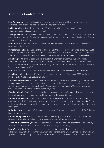### **About the Contributors**

**Lord Adebowale** is the Chief Executive of Turning Point, a leading health and social care social enterprise, and was appointed as a crossbench 'People's Peer' in 2001.

**Phillip Blond** is the Founder and Director of ResPublica, and is an internationally recognised political thinker and social and economic commentator.

**Sir Stephen Bubb** is the Chief Executive of the Association of Chief Executive Organisations (ACEVO). He is also Secretary General of the Euclid Network, the European body for third sector leaders, and Chair of the Social Investment Business.

**Frank Field MP** is a Labour MP for Birkenhead, and currently leads on the Government's Review on Poverty and Life Chances.

**Professor Simon Lee** is a Trustee of The ResPublica Trust, the not-for-profit entity established in July 2011 which undertakes all of ResPublica's domestic activity. He is the chairman of Level Partnerships, chair of the John Paul II Foundation for Sport and Emeritus Professor of Jurisprudence, Queen's University Belfast.

**John Longworth** is the Director General of the British Chambers of Commerce, a non-political, non-profit making organisation, owned and directed by its members, democratically accountable to individual businesses of all sizes and sectors throughout the UK. He has held senior director positions at Tesco Stores Ltd and the CWS Ltd.

**Lord Low** was Chairman of RNIB from 2000 to 2009 and is a crossbench peer in the House of Lords.

Mark Harper MP has been the Member of Parliament for the Forest of Dean since 2005, and is the Minister for Political and Constitutional Reform.

**Rafal Heydel-Mankoo** is an international broadcaster, writer and lecturer, specialising in constitutional monarchy and British institutions, traditions and heritage. He is the co-author and co-editor of the critically-acclaimed Burke's Peerage & Gentry: World Orders of Knighthood & Merit and has advised various governments on their national honours systems.

**Caroline Julian** is a Senior Researcher and Project Manager at ResPublica, and holds particular expertise in the role and value of faith groups, the Church and the British constitution.

**Professor John Milbank** is the Chair of Trustees for The ResPublica Trust, the not-for-profit entity established in July 2011 which undertakes all of ResPublica's domestic activity. He is Research Professor of Religion, Politics and Ethics and Director of the Centre of Theology and Philosophy at the University of Nottingham.

**Dr Adrian Pabst** is Lecturer in Politics at the University of Kent, Canterbury, and author of The Politics of Paradox (forthcoming).

**Professor Roger Scruton** is the Visiting Professor of Philosophy at the University of Oxford and the University of St Andrews, and Visiting Scholar at the American Enterprise Institute.

**The Rt Revd Tim Stevens,** Bishop of Leicester from 1999 to date and Convenor of the Lords Spiritual, and also Chair of the Council of Westcott Theological College in Cambridge.

**Lord Wei** is a serial social entrepreneur, having been part of the founding team of Teach First and establishing the Shaftesbury partnership, which piloted the National Citizen Service programme. He was appointed a Conservative peer in 2010, where he is the only active Parliamentarian of Chinese origin.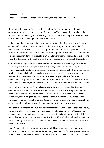### **Foreword**

Professor John Milbank and Professor Simon Lee, Trustees, The ResPublica Trust

On behalf of the Board of Trustees of the ResPublica Trust, we would like to thank the contributors to this excellent collection of short essays. They concern the crucial role of the House of Lords in reflecting and promoting all aspects of British society, and the importance of extending, not restricting that function in the future.

In the light of the continuing debate surrounding the Coalition Government's draft House of Lords Reform Bill, such advocacy could not be more timely. Moreover, the reader of this collection will soon discover that the topic of the future role of the Upper House is no marginal or esoteric matter. Rather, it tends to bring together many of the crucial themes that are being considered in ResPublica's British Civic Life workstream, which seeks to explore and unearth civic association in helping to cultivate an engaged and connected British society.

Central to the new 'post-liberal' politics which ResPublica exists to promote, is the question of how to prevent civil society, in its complex plurality, from being swamped by the impersonalism, atomisation and collectivism increasingly imposed by both state and market. A rich and diverse civil society typically involves, in every locality, a creative interaction between the inspiring and virtuous example of a few people and the unformalised democratic participation of the many. One can argue that it is this process which most of all guarantees the genuine, rather than the theoretical, growth of freedom and equitable justice.

But paradoxically, as Adrian Pabst indicates, it is only possible to secure this dispersed operation of power if its idiom also has a manifestation at the centre, complementing the role of formally representative democracy. Thus the House of Lords, seen as the apex of civil society, should uniquely be able to combine the functions of wise guidance by nonprofessional politicians with the representation of multiple groups, professional associations, cultural vocations, faiths and localities that make up the fabric of the country.

Here then the interaction of virtue with assent crucial to 'the Big Society' or 'the Good Society', can be centrally secured in such a way that specific legitimate rights are not lost to a spirit of abstracting resentment unable to see that the same thing is not appropriate for all. This spirit, while supposedly promoting the identical rights of 'every' individual, tends in reality to leave increasingly isolated, socially detached individuals powerless in the face of impersonal technocratic processes.

Roger Scruton rightly suggests that the 'unwritten' British constitution has tended to guard against such a tendency, through a mode of mixed government (as further explicated by Pabst) that would be undermined in the direction at once of administrative deadlock and of disputed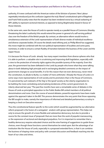#### **Our House: Reflections on Representation and Reform in the House of Lords**

authority, if it were confused with the American notion of the 'division of powers'. New Labour regrettably introduced just this confusion (against the truly 'liberal' constitutional spirit of Bagehot) and Frank Field acutely notes that the situation has been rendered worse by a virtual outlawing of MP's ability to represent sectional interests, as opposed to being illegitimately biased in favour of those interests.

In the same vein, were the House of Lords to operate merely as a parallel House of Commons (thereby threatening the latter's authority) this would extend the power in general of a self-serving political class over the freedom of the British people. By contrast, an alternative reform would involve a simultaneous extension of the Lords' representation of both diverse modes of individual excellence and diverse corporate bodies. Of course the details need refining and, as Phillip Blond has suggested, this move might be combined with the non-political representation of localities and some party nominees, in order to ensure a certain fluidity of transition between the business of the Lower and the Upper House.

It is because the House of Lords already has many expert members from diverse spheres who that it is able to perform a valuable role in scrutinising and improving draft legislation, especially with a view to the protection of minority rights against the possible tyranny of the majority. Even this year, the government has been defeated in the Lords by people who knew what they were talking about in both debating high principle and in exchanging detailed comments on the impact of government changes to social benefits. It is for this reason that not even democracy, never mind the constitution, to allude to Burke, is a matter of 'mere arithmetic'. Already the House of Lords is in some ways more representative of civil society and its promotors than is the House of Commons. It is perceived by such stalwarts of the 'big' or the 'good' society as the Liberty organisation to be battling the more centralising and privatising tendencies of the current government. As Liberty observed last year,"The past few months have seen a remarkable series of debates in the House of Lords as principled opposition to the Public Bodies Bill united members of all political denominations and none. Over the course of several debates, powerful arguments have been made against the approach taken in the Bill. This process demonstrates the very point that those opposing the Bill sought to make, namely the importance of informed and detailed parliamentary scrutiny in keeping a check on Executive excesses."

Thus the constitutional feature specific to the Lords (which would be augmented by our alternative reform proposal) is the fusion of a variegated wisdom with group representation. This helps not only to ensure the growth of a more flexible and substantive democracy, but also to provide a source for the constant issue of 'proposals' that are more than the work of populist manoeuvring, or the expression of sectional and ideological prejudices. For it is important to remember that a healthy democracy requires educated choices and the wise framing of suggestions to guide those choices, even though these functions cannot themselves be voted upon. But the advantage of an institution like the House of Lords, especially in a proposed extended form, is that it can combine the business of shaping vision and policy with constant discussion and feedback reaching into the heart of our cities and shires.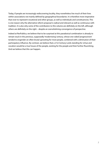Today, if people are increasingly rediscovering locality, they nonetheless live much of their lives within associations not mainly defined by geographical boundaries. It is therefore more imperative than ever to represent vocational and other groups, as well as individuals and constituencies. This is one reason why the alternative reform proposal is radical and relevant as well as continuous with tradition. It is also why some of the contributors to this volume are definitely on the left, although others are definitely on the right – despite an overwhelming convergence of perspective.

Indeed at ResPublica, we believe that to be surprised at this paradoxical combination is already to remain stuck in the previous, supposedly 'modernising' century, whose one-sided 'progressivism' tended to engender an often brutal uprooting for most people, combined with a diminution of their participatory influence. By contrast, we believe that a 21st Century Lords standing for virtue and vocation would be a true house of the people, existing for the people and their further flourishing. And we believe that this can happen.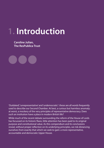## **1. Introduction**

**Caroline Julian, The ResPublica Trust**

'Outdated', 'unrepresentative' and 'undemocratic': these are all words frequently used to describe our Second Chamber. At best, a curious but harmless anomaly; at worst, a mockery of the very principles of representative democracy. Does such an institution have a place in modern British life?

While much of the recent debate surrounding the reform of the House of Lords has focussed on its historic flaws, little attention has been paid to its original purpose and constitutional value. As this compendium and its conclusions reveal, without proper reflection on its underlying principles, we risk distancing ourselves from exactly that which we seek to gain: a more representative, accountable and democratic Upper House.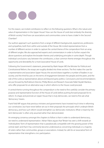For this reason, we invited contributors to reflect on the following questions: What is the nature and value of representation in the Upper House? How can the House of Lords best embody the diversity of British society? And how can associations and communities come to have a 'stake' in the Second Chamber?

Our authors approach such questions from a range of different backgrounds, experiences, professions and sympathies, both from within and outside of the House. We invited representatives from a number of different sectors in order to capture the central theme of the compendium from an array of different angles. We also approached experts and commentators in order to further unpack the above questions and explore the broader themes and underlying principles in some depth. Though individual conclusions vary between the contributors, a clear common theme emerges throughout: the opportunity and desirability for a more 'associative' House of Lords.

Following the Government's statement, presented by Mark Harper MP, the Minister for Political and Constitutional Reform, the essays are roughly divided into three sections. The first makes the case for a representative and associative Upper House; the second draws together a number of leaders in our society; and the third focuses on the terms of engagement between the people and the peers, and the role of the Lords as representatives above and beyond party politics. Conclusions and recommendations are put forward by ResPublica's Director, Phillip Blond, and Research Associate Rafal-Heydel Mankoo, who offer proposals for an alternative way in which reforms to the House could proceed.

A central theme running throughout the compendium is the need to first carefully consider the primary purpose and representative function of the House of Lords before pushing forward proposals for its reform. To shape and promote an Upper House that is truly democratic, we need to first ask what 'democracy' means.

Frank Field MP argues that previous ministers and governments have invested much time in reforming our constitution, but have never before set out in their proposals the principals which underpin British democracy, and how such reform would strengthen our democratic institutions. What is meant by the term 'democratic' is often only assumed rather than demonstrated.

An emerging consensus amongst the chapters to follow is that in order to understand democracy, we need to understand representation. Adrian Pabst argues that "Britain has seen a shift towards an 'individualistic' form of representation that is paradoxically compatible with the growing power of the central state", and that it has commonly become understood as concerning individuals or a majority of voters rather than communities, groups or associations. Instead, he calls for an 'associative' form of representation that strengthens civic participation.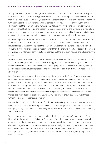#### **Our House: Reflections on Representation and Reform in the House of Lords**

Setting the international scene through a survey of upper houses abroad, Rafal Heydel-Mankoo puts forward the case that "the increasingly diverse House of Lords is more representative of British society than the elected House of Commons, is better suited to serve the wider public interest and, in common with many upper houses, it performs a role as democratically vital as the lower house, through its championing of the constitution and human rights, its legislative review and executive scrutiny, and its defence of political minorities and opposition." Upper houses internationally often play a vital role in giving a voice to many under-represented communities, set apart from political interests and offering a democratic function that is complementary to rather than competitive with the lower house.

Professor Roger Scruton argues that the function of the Second Chamber "is to represent those interests of the nation that are not interests of its political class", and cites Bagehot who recognised that the House of Lords, as the 'dignified' part of the constitution, was there "to slow things down, to remind everyone that the national interest is more important than the interests of party or faction". The House is not another forum for party conflict, but a representative of the long-term interests and affections of the nation.

Whereas the House of Commons is constituted of representatives by constituency, the House of Lords reaches beyond regional boundaries to an increasingly diverse and dispersed society. Peers are often embedded in cultures and communities whilst also playing a representative role at the 'top', offering people a 'stake' in constitutional processes and the formation of legislation that will ultimately come to affect them.

Lord Wei draws our attention to his representative role on behalf of the British Chinese, who are not concentrated enough in one area of the country to support an elected member in the Commons. As part of the episcopate, Bishop Tim Stevens finds a crucial role in diocesan representation, with bishops often communicating views and concerns on behalf of far more than simply 'the established Church'. Lord Adebowale describes his role as head of a social enterprise, amongst those at the margins of society and in touch with the real issues faced by real people, not those of a 'privileged elite'. "When there is a relevant debate in the House," he writes, "my priority is to ensure that the views of those without a voice are represented and heard."

Many of the contributors call for a House of Lords that can justifiably claim to reflect British society, in both number and expertise: from representatives of smaller civic groups and communities, to those belonging to larger institutions that effectively encompass the interests and channel the voices of many across the nation.

To encourage a type of democracy that might be called 'associative' or 'group' representation, Frank Field calls for the introduction of a Reform Commission, "with the duty to begin mapping out which group interests should gain representation, and at what strength." Lord Low calls for the formation of electoral colleges based on 'constituencies of expertise', whereby sectors and groups of society can each elect their representative. Groups, associations and professions to be represented may include the arts, the law, medicine, sport, education, the armed services, business, trades unions, faith groups, the third sector and so forth.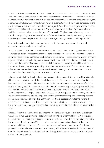#### **Introduction - Caroline Julian**

Bishop Tim Stevens presents the case for the representational value of the bishops in the House of Lords: "The Lords Spiritual bring to their contribution a network of connections into local communities which no other institution can begin to match, a regional perspective often lacking from the Upper House, and a framework of values which (while claiming no moral superiority over other's values) contributes to the political debate about what constitutes the common good..." With the place of religion and the Churchstate relationship in mind, he also warns that, "[w]hilst the removal of the Lords Spiritual would not spell the immediate end of the establishment of the Church of England, it would seriously undermine it, undoubtedly calling into question the future of the established relationship and sending a strong negative signal about the place of Christianity – and religion more generally – in British public life."

By achieving such representation, as a number of contributors argue, a more participative and associative model might begin to be achieved.

The contribution of the wealth of expertise and diversity of experiences that many peers bring to bear on revised legislation emerges throughout as a central characteristic that must be maintained within a reformed House of Lords. Sir Stephen Bubb comments on the much needed expertise and commitment of peers with a third-sector background who continue to promote the voluntary and charitable sector throughout the passage of new and revised legislation, such as the recent Localism Bill. Some clauses within the Bill, he argues, were opposed by vested interests, but "a number of committed and wellinformed peers were able to make an unanswerable case for freeing local charities to become more involved in local life, and the key clauses survived unscathed."

John Longworth similarly describes the business expertise often required in the passing of legislation, also citing the Localism Act 2011 as a bill that "could have benefitted from a greater understanding of the role business plays in local communities, and the potential for firms to be more involved, to great effect, at a local level." Throughout this compendium, contributors call for a more reciprocal, participative and indeed, a 'co-operative', House of Lords. Lord Wei, for instance, argues that "peers play a valuable role, not just in representing voices that might not otherwise be heard, but also in helping to advise, facilitate, and support effective direct democracy", and draws upon an emerging appetite for a reciprocal relationship between people and peers which is being achieved through collective, direct action. New technology and the development of the internet as a democratic platform has enabled the direct appeal of people to peers, but also offers the opportunity for the peers themselves to appeal to the people. Direct action can go both ways.

It has now been over one hundred years since the 1911 Parliament Act, and yet reforms to the Second Chamber continue. But can we now stretch further back into our British tradition whilst also reaching forward into modern society to re-imagine a House of Lords that is truly democratic and representative but also, crucially, fit for purpose? The conclusions within this compendium draw all of the above thoughts and ideas together, and offer an alternative proposal for a reformed House of Lords that proceeds from its underlying principles. The authors argue for a Second Chamber that is comprised of one third elected, one third nominated and one third appointed members – a proposal that strives to deliver representation to all.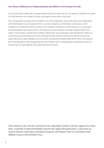#### **Our House: Reflections on Representation and Reform in the House of Lords**

It is only through a reflection on representation and civic value that we can begin to establish the House of Lords' relevance for modern society, and shape a House that is truly 'ours'.

This compendium emerges from the British Civic Life workstream, one of the three core workstreams of The ResPublica Trust. It marks the first in a series of projects on the British constitution, which endeavour to explore the role and value of our national institutions in promoting a civic, associative and participative democracy, and in cultivating virtue and character amongst representatives and within communities. Constitutional matters will become an increasingly important feature within our upcoming work, extending to the role and value of faith and the monarchy for British society and public life, and to wider debates concerning the constitutional relationships both within and beyond the United Kingdom. We envisage that this will interface with corresponding workstream activity on enhancing civic participation and citizenship across society.

*Warm thanks are due to all who contributed to this compendium, and those who have supported its central thesis. I would like to thank the ResPublica team for their support during this project, in particular our research assistants, Emma Baron and Beatrice Ferguson; and Professor Simon Lee and Professor John Milbank, trustees of The ResPublica Trust.*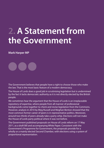## **2. A Statement from the Government**

### **Mark Harper MP**

The Government believes that people have a right to choose those who make the law. That is the most basic feature of a modern democracy.

The House of Lords does a good job in scrutinising legislation but is undermined by the fact it lacks democratic authority as it is not directly elected by the British people.

We sometimes hear the argument that the House of Lords is an irreplaceable repository of expertise, where people from all manner of professional backgrounds come together to check and revise legislation from the Commons. However, analysis in 2010 by Meg Russell and Meghan Benton showed that the most common former career of peers is in representative politics. Moreover, around two-thirds of peers already take a party whip. Elections will not make the House of Lords party political where it was not before.

The Government published proposals on House of Lords reform on 17 May 2011, as a draft Bill and accompanying White Paper. Consistent with the Government's Programme for Government, the proposals provide for a wholly or a mainly elected Second Chamber, with elections using a system of proportional representation.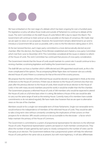

We have embarked on the next stage of a debate which has been ongoing for over a hundred years. Pre-legislative scrutiny will allow those inside and outside of Parliament to continue to debate all the issues. The Joint Committee on the draft House of Lords Reform Bill is due to report this March. The Government will continue to listen and act as far as possible on the basis of consensus. We made clear we are open to views on our proposals. However, the Government remains determined to act and to introduce a Government Bill as soon as possible, with a view to the first elections taking place in 2015.

At the last General Election, each major party committed to a more democratically elected second chamber. After the election, the Deputy Prime Minister established and chaired a cross-party Committee which met from June to December 2010. This Committee considered all the issues in relation to reform of the House of Lords. The Joint Committee has continued that process of cross-party consideration.

The Government intends that the House of Lords would maintain its current role. It would continue to be a revising chamber, scrutinising legislation and holding the Government to account.

The draft Bill sets out how a chamber which is 80% elected and 20% appointed would work, as this is the more complicated of the options. The accompanying White Paper does not however rule out a wholly elected House of Lords if there is a consensus for that at the end of the scrutiny process.

We propose that the members of the reformed House would be elected or appointed in thirds at the time of elections to the House of Commons. If there was an election to the House of Commons less than two years after the previous election to the House of Lords, there would not be an election to the House of Lords. In line with many second chambers around the world, it would be smaller than the first chamber. The Government proposes a reformed House of Lords of 300 members who would be expected to attend the House of Lords on a full-time basis when it is sitting. We believe a House of this size would be able to carry out the same range of work as the existing House. Currently many of its members have outside commitments or do not attend regularly. We have made clear however that we are open to alternative views on the size of the chamber.

Members would sit for a single non-renewable term of three Parliaments. Single non-renewable terms would enhance the independence of members of the reformed House of Lords. They would be able to take a long-term view without constantly considering the implications of their actions on their prospects for re-election. MPs would continue to be accountable to the electorate – a factor which helps maintain the primacy of the House of Commons.

The Government is committed to a system of proportional representation for elections to the reformed House of Lords. Proportional representation systems are based on multi-member constituencies. They allow the number of seats gained by each party to closely correspond to the number of votes cast for that party at an election. The Government believes that a proportional system will help the reformed House of Lords perform the same role as at present, but with more legitimacy. It will also differentiate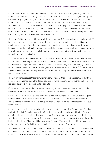#### **A Statement from the Government - Mark Harper MP**

the reformed second chamber from the House of Commons in two ways. First, electing members to the reformed House of Lords by a proportional system makes it likely that, as now, no single party will have a majority, enhancing the scrutiny function. Second, the Electoral Districts proposed for the reformed House of Lords will be different from the constituencies which MPs are elected to represent. If 80 members were elected at each election, that would mean roughly 570,000 voters to each member, compared to the approximately 75,000 voters represented by each MP. Differences like these would ensure that the mandate for members of the House of Lords is complementary to the important work carried out by MPs and their link with their constituents.

The Bill and White Paper set out how a single transferable vote (STV) electoral system would work. STV is a form of proportional representation in which electors may vote for individual candidates using numbered preferences. Votes for one candidate can transfer to other candidates where they can no longer influence the result, either because they are held by a candidate who already has enough votes to be elected, or because they are held by a candidate who, at a certain point, has too few votes to compete with other candidates.

STV offers a clear link between voters and individual candidates as candidates are elected solely on the basis of the votes they themselves achieve. The Government considers that STV can therefore help to preserve the independence of thought that is one of the best things about the existing House of Lords. However, the White Paper acknowledges that a list-based system would also fulfil the Coalition Agreement commitment to a proportional electoral system, and is open to views on whether such a system should be used.

The Government proposes that the multi-member Electoral Districts would be recommended by a panel of independent experts. The district boundaries would be permanent with the number of seats reallocated every 15 years according to electorate.

If the House of Lords were to be 80% elected, a statutory Appointments Commission would handle nominations of the 20% appointed members, who would be expected to be non-party political.

If the House were not wholly elected, there would be a continuing role for some Church of England Bishops, eventually reducing to a maximum of 12 in number. They would not count towards the 20% appointed members, but would be supernumerary. There would be no other specific religious representation.

Members would receive a salary and pension, to be set by the Independent Parliamentary Standards Authority. The draft Bill includes provisions for resignation, expulsion and disqualification. The taxdeeming rules which already apply would continue. The link with the peerage would be broken; this would revert to being just an honour. There would be no re-election or re-appointment for those who had served a full term. There would be a cooling-off period of four years during which former members of the Lords would be ineligible to stand for election to the House of Commons.

The Government proposes a long period of transition over three elections during which existing peers would remain as transitional members. The draft Bill sets out one option – one third of the existing members of the House would leave at the time of the first election, and a further third at the time of the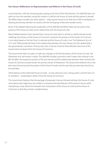#### **Our House: Reflections on Representation and Reform in the House of Lords**

second election, with the remaining peers going at the time of the third election. The draft Bill does not spell out how the members would be chosen; it is left for the House of Lords and the parties to decide. The White Paper includes two other options – reducing the House to its final size of 300 immediately, or allowing all existing members to remain until the third group of elected members arrive.

Much of the debate following the publication of the draft Bill and White Paper has focused on the powers of the House of Lords and its relationship with the House of Lords.

Many Parliamentarians have claimed that a House of Lords which is wholly or mainly elected would challenge the primacy of the House of Commons. However, the primacy of the House of Commons is not solely based on the fact that it is elected and the House of Lords is not. The Parliament Acts of 1911 and 1949 provide the basis of the relationship between the two Houses, but this relationship is also governed by convention. Primacy also rests in the fact that the Prime Minister and most of the Government are drawn from the House of Commons.

The Government does not plan to make any changes to the formal powers of the House of Lords. The Parliament Acts will remain in place. The draft Bill includes a provision which states that nothing in the Bill will affect the respective powers of the two Houses and the relationship between them and that the House of Commons would remain the primary House of Parliament. The Government believes this is the best way of ensuring that the powers of the House of Lords and the way they are exercised should not be extended.

Other features of the reformed House of Lords – its size, electoral cycle, voting system, and the terms of its members – would keep it distinct from the House of Commons.

The Government believes that the package of proposals it has put forward will give the House of Lords more democratic legitimacy, but enable it to preserve the best features of the present House, while maintaining a clear distinction between the composition of the House of Lords and the House of Commons so that they remain complementary.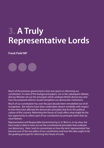# **3. A Truly Representative Lords**

### **Frank Field MP**

Much of the previous government's time was spent on reforming our constitution. In none of the background papers, nor in the subsequent debate, did any Minister set out the principals which underpin British democracy and how the proposed reforms would strengthen our democratic institutions.

Much of our constitution has over the past decade been remodelled out of all recognition. But reforms have been undertaken absent mindedly with respect to how they have affected the democratic principles that form the political culture of this country. Reforming the House of Lords offers what might be the last opportunity to reform part of our constitution by principal rather than by mere fashion.

Representative and Responsible Government by A. H. Birch is, in my view, the best study to date to have set out the constitutional principles that underpin our democracy. Here I wish to concentrate on how the term 'representative' has become one of the two pillars of our constitution and how this idea ought to be the guiding principal for reforming the House of Lords.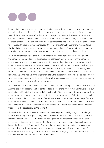

Representation has four meanings in our constitution. First, the term is used of someone who has been freely elected on the universal franchise and is dependent on his or her constituents for re-election. Second, the term 'representative' can be viewed as an agent or delegate. The origins of democracy within the trade union movement were focused within the local branch meetings, which mandated delegates to represent the decision of the branch at higher meetings of the union. It was once common to see Labour MPs acting as representatives in this sense of the term. Third, the term 'representative' signifies that a person is typical of the group that has elected them. MPs are seen to be representative if they mirror not so much the main characteristics, but the views of the group that elects them.

There is a fourth meaning given to the term 'representative'. From earliest times, membership of the Commons was based on the idea of group representation, i.e. the individual in the Commons represented the whole of their area, and not just the very small number of people who had the vote. Indeed, the first squires called to Parliament were chosen on the basis that they would be able to speak for their whole area and, because of this, be able to enforce locally any taxation Parliament agreed. Members of the House of Commons were not therefore representing individual interests, in theory at least, nor simply the interest of the majority of voters. The representation of a whole area is still effective when a constituency is engulfed in crisis. The local MP in such circumstances is expected to defend his or her patch, even if it means defying their government.

The representation of groups in our constitution is almost as old as the representation of particular areas. And the idea of group representation continued to play one of the effective representative roles in our constitution right up to the sleaze crisis that engulfed John Major's government. Individuals were then found to have taken money to represent outside interests in the Commons. Following the goading by the Nolan Report, the Commons, instead of expelling the offending Members, barred the professional representation of interests within its walls. This move was a violent assault on the richness that has been attached to the meaning of representation in our democracy. It was an absurd position to adopt but that is where the debate rests for the moment.

The work of the Commons over the centuries had been deeply enriched by the group knowledge that has been brought to its proceedings, be they specialisms from doctors, trade unionists, teachers, lawyers, nurses and so on. All individuals who belong to such groups are now careful to the point of inaction not to represent their group interests. Not so in the House of Lords where such specialist knowledge is treasured. Given that the Commons has stripped out this form of representation from its proceedings, might not we strengthen it in our Parliamentary system? Might not this idea of representation be the starting point for Lords reforms rather than trying to impose a form of election on the Lords which is most appropriate to the Commons?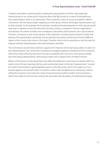#### **A Truly Representative Lords - Frank Field MP**

A radical Lords reform could be based on seeking the representation of all the major legitimate interest groups in our society and of using the idea of the 'Big Society' as a means of strengthening how representation works in our democracy. There would be a need, of course, to establish a Reform Commission with the duty to begin mapping out which group interests should gain representation, and at what strength. So, for example, the Commission would put forward proposals on which groups would have seats to represent local authorities and voluntary interests, to represent women's organisations and interests, the interest of trade unions, employers, industrialists and businesses, the cultural interest of writers, composers as well as the interests of the professions including those involved in health and learning. The representation specifically of local authority associations would ensure that the different regions of the country have voices in the Upper Chamber. And so the list would go on with the seats for Anglican bishops shared between other denominations and faiths.

The Commission's second task would be to approve the means by which each group elects or selects its own representatives. The Commission should be encouraged to approve a diversity of forms of election, rather than simply enforcing that which has been accepted by the Commons. Some groups already elect their group representatives. Other groups might wish to adopt a form of indirect election.

Reform of the House of Lords along these lines offers this Parliament a last chance to rebuild within our system one of the key meanings that has until recently been given to the term 'representative'. It would be a reform that resulted in giving legislative power to the 'Big Society', which has sought to act as a bulwark against a too powerful state. It would be a reform that strengthened our democracy without setting the Commons and Lords into a state of near permanent political warfare. And it would be a reform that might, for the first time, enthuse the electorate with the politics of constitutional change.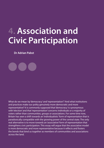## **4. Association and Civic Participation**

**Dr Adrian Pabst**

What do we mean by 'democracy' and 'representation'? And what institutions and practices make our polity genuinely more democratic and more representative? It is commonly supposed that 'democracy' is synonymous with 'election' and that 'representation' concerns individuals or a majority of voters rather than communities, groups or associations. For some time now, Britain has seen a shift towards an 'individualistic' form of representation that is paradoxically compatible with the growing power of the central state. The only real alternative is to move towards an 'associative' form of representation that strengthens civic participation. This essay will argue that the associative model is more democratic and more representative because it reflects and fosters the bonds that bind us together as members of communities and associations across the land.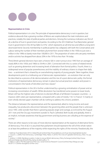#### **Representation in Crisis**

Political representation is in crisis. The principle of representative democracy is not in question, but evidence abounds that a growing number of Britons are sceptical about the main institutions and practices, notably the state of political parties and elections. Among the numerous indicators are, first of all, a decline of trust in government and parties. According to the 2012 Edelman Trust Barometer, general trust in government in the UK has fallen to 41%,<sup>1</sup> which represents an all-time low and reflects a long-term downward trend. Second, membership in political parties has collapsed, with both the Conservatives and Labour seeing the number of their members plummet from several million in the 1950s to just over a million in the 1990s to barely more than 100,000 in 2011. The proportion of voters who are party members and/or activists has dropped from about 20% in the 1970s to less than 1% today.

Third, British general elections have seen a historic fall in voter turnout since 1945 from an average of nearly 80% in the 1950s and 1960s to 59.4% in 2001. Connected with this is a series of related trends such as growing abstention and increasing levels of alienation from formal politics. Fourth, there is a widespread sense of popular powerlessness and the inability of ordinary citizens to shape their daily lives – a sentiment that is shared by an overwhelming majority of young people. Taken together, these developments point to a hollowing out of democratic representation – an evolution that can only be described as a process of de-democratisation and the rise of a post-democratic polity: the formal institutions of representative democracy remain in place but actual practices weaken and power is concentrated in the hands of 'old elites' and 'new classes'.2

Political representation in the UK is further undermined by a growing centralisation of power and an increasing concentration of wealth. While devolution has transferred some powers to lower levels, Britain still has the highest ratio of electors to elected officials of all Western European countries – a massive 2,605 voters per representative, compared with a ratio of merely 116:1 in France<sup>3</sup>. A mainly or even wholly elected upper chamber will do nothing to address this chronic problem.

The distance between the representatives and the represented, allied to rising income and asset inequality, has produced a disconnect between the governing elites and the people that is unknown since 1945. Little wonder that there is growing popular anger and outrage, as evinced by the August 2011 riots and the Occupy movement outside St. Paul's Cathedral. Both locally and globally, there is an implicit, inchoate awareness that big government and big business are colluding at the expense of society.4

There are other reasons to be wary of more elective representation at the expense of alternative forms of democracy. First of all, it is assumed that parliament should represent the will of the whole nation or at least the preference of the majority while respecting the rights of the minority. Paradoxically, the

- 3 Jenkins, S. (2004). Big Bang Localism. A plan to rescue British democracy, Policy Exchange [online] http://www.<br>policyexchange.org.uk/assets/big\_bang\_localism.pdf, p. 13.<br>4 Pabst, A. (2011) The Resurgence of the Civic, S
- tif/2011/11/29/the-resurgence-of-the-civic/

<sup>1</sup> Edelman Trust Barometer (2012). Global Result [online] http://trust.edelman.com/trust-download/global-results/ 2 Crouch, C. (2004). Post-Democracy. Cambridge: Polity; Pabst, A. (2010). The Crisis of Capitalist Democracy, Telos 152, pp. 44-67.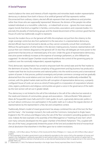### **A Social Purpose**

need to balance the views and interests of both majorities and minorities leads modern representative democracy to abstract from both in favour of an artificial 'general will' that represents neither. Disconnected from ordinary citizens, elected officials represent their own preferences and priorities rather than those who are supposedly 'represented'. Moreover, the division of the people into either isolated individuals or a monolithic collectivity – or indeed both at once – ignores the more natural, organic bonds that bind us together in families, communities, associations and corporate bodies. It is precisely this plurality of interlocking groups and the shared discernment of the common good that the House of Lords has traditionally sought to represent.

Second, the modern focus on the 'general will' shifts the emphasis not just from the citizenry to the single sovereign centre but also from parliament to the executive. In a representative democracy, elected officials have to be licensed to decide, as they cannot constantly consult their constituents. Without the participation of other bodies in the decision-making process, however, representatives will pursue their own interests disguised as the 'general will'. Or else they will delegate yet more power to the government that becomes an interested party of its own. Under the guise of representative democracy, executive power endlessly increases at the expense of sovereign parliament, as John Milbank has suggested.<sup>5</sup> An elected Upper Chamber would merely reinforce the control of the governing party (or coalition) over the nominally independent, separate legislature.

Third, democratic representation has served to empower both the central state and the 'free' market to the detriment of society. The collusive complicity of big government and big business has produced a 'market-state' that ties local economies and national politics into the world economy and a transnational system of power. In that process, political sovereignty and private commerce converge and are gradually abstracted from the social relations and civic bonds in which they were traditionally embedded.<sup>6</sup> By contrast, with the global 'market-state' and the self-corruption of representative democracy, a properly configured House of Lords can serve as a kind of 'meta-guild' or a 'corporation of corporations' wherein cities, regions, professions and religious communities are given a voice in the governance of the realm (as the next section will set out in greater detail).

Thus democracy is not limited to the will of the individual or the will of the collective but extends to the needs and interests of communities, groups and associations – Edmund Burke's "little platoons", Alexis de Tocqueville's town-halls and G.D.H. Cole's guilds. As such, a genuinely democratic politics is as much about continuous civic participation in the public realm as it is about the regular election of representatives by the represented in a free, fair and competitive contest.

Traditionally, Britain's model of mixed government has always combined the rule of the 'one', the 'few' and the 'many' – the Sovereign monarch, the Lords and the Commons. Going back to Anglo-Saxon England in the 7th century and Magna Carta, the rule of the 'few' consisted in providing guidance of the wise. Indeed, the best example is the assembly of the Witenagemot or "meeting of wise men", which over many centuries developed into the upper chamber of the British Parliament.<sup>7</sup> This, coupled with the rule of the 'many', progressively limited the power of the 'one' and avoided the kind of monarchicalclerical absolutism that elsewhere in the West gave rise to violent revolutions.

*18* 7 Liebermann, F. (1961) The National Assembly in the Anglo-Saxon Period, reprinted (New York: B. Franklin).

<sup>5</sup> Milbank, J. (2012) Blue Labour, The Return of the Social and the Role of Religion, In: I. Geary, ed. (2012) What is Blue Labour? London.

<sup>6 ″</sup>The 'sovereignty' of modern government is just as abstractly equivalent to the voices of all, as the operation of money and<br>capital in the marketplace is abstractly equivalent to each person's silent choices. And just a 'represent' the multifarious decision of private actors, so also elected 'representatives' claim to speak and act in the name of the people". Ibid. p.18.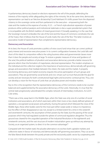#### **Association and Civic Participation - Dr Adrian Pabst**

A parliamentary democracy based on elections represents the will of the people, defending the interests of the majority while safeguarding the rights of the minority. Yet at the same time, democratic representation can lead to an "elective dictatorship" (Lord Hailsham) if it shifts power from the dispersed citizenry to the sovereign centre and from parliament to the executive – empowering both the state and the market at the expense of society. A U.S. – or French-style absolute separation of power produces either political paralysis and institutional stalemate or else a super-presidential system that is incompatible with the British tradition of mixed government. If, broadly speaking, it is the case that the Sovereign monarch embodies the rule of the 'one' and the House of Commons constitutes the rule of the 'many', then it follows that the House of Lords marks the rule of the 'few'. The latter involves an associative model of representation that complements representative democracy.

#### **Democracy and Association**

At its best, the House of Lords promotes a politics of wise council and virtue that can correct political party interest and excessive executive power. In its current configuration however, the Lords falls well short of this ideal. Its composition reflects the ruling business elites and governmental classes more than it does the people and society at large. To restore a greater measure of virtue and 'guidance of the wise', the political traditions of pluralism and associative democracy provide a better resource for genuine reform than the formalism of majoritarian, electoral representation. The modern emphasis on the individual and the collective neglects the importance of autonomous, democratically self-governing groups and associations that mediate between the citizen, the state and the market. A properly functioning democracy and market economy requires the active participation of such groups and associations. They are governed by social bonds and civic virtues such as trust that provide the glue for society and are necessary for both constitutional-legal rights and economic-contractual ties. Thus, one can develop a vision for the House of Lords that can pluralise power and moralise markets.

Key to this is the recognition that the representative democracy of the Commons needs to be counterbalanced and supplemented by the associative democracy of the Lords. Historically, it is true that the central state progressively subordinated the complex network of intermediary institutions. As G.D.H. Cole writes,

"There was a time, away back in the Middle Ages, when the State was only one of a number of social institutions and associations, all of which exercised, within their more or less clearly defined spheres of operation, a recognized social power and authority. During the period which followed the close of the Middle Ages, these other bodies were for the most part either swept aside or reduce to impotence; but the effect of their disappearance was not, except to a limited extent for a time in the sixteenth and seventeenth centuries, the assumption of their powers by the State, but the passing of the social purposes which they had regulated outside the sphere of communal regulation altogether. Thus the ground was cleared for the unguided operation of the Industrial Revolution in the eighteenth and nineteenth centuries, and the vast structure of modern industrialism grew up without any attempt by Society, as an organized system, to direct it to the common advantage".<sup>8</sup>

Compared with the 'market-state', the pluralist alternative is to eschew both capitalist markets and collectivist states in favour of voluntary and democratically self-governing associations. They cut across the false liberal divide between the purely private and the exclusively public sector by cooperating with

8 Cole, G.D.H. (1920) Guild Socialism. A Plan for Economic Democracy (New York: Frederick A. Stockes Co.), pp. 22-23.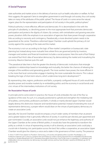### **A Social Purpose**

state authorities and market actors in the delivery of services such as health, education or welfare. As Paul Hirst suggests, this approach "aims to strengthen government in and through civil society; thus civil society takes on many of the attributes of the public sphere". The House of Lords is in some sense the natural, organic place for the representation and participation of civil society in the public, political sphere.<sup>9</sup>

Political authority is more effective, efficient and democratic if it is decentralised in line with the principle of subsidiarity, i.e. devolving power to the most appropriate level that promotes democratic participation and protects the dignity of citizens. By contrast, with centralisation and growing executive power, pluralism shifts the emphasis to an association of agencies that share power through cooperative links according to necessity and contingency. Paradoxically, a more devolved system needs to be guaranteed at the centre. Therefore a reformed Upper Chamber could uphold the primacy of civil society against the usurping of the state and the market.

The economy is not run according to the logic of 'free-market' competition or bureaucratic state planning but instead along more mutualist lines where firms are governed jointly by investors, managers and workers and financial investment includes a social purpose. Here the work of Karl Polanyi can extend Paul Hirst's idea of 'associative democracy' by democratising the market and mutualising the economy. Maurice Glasman puts this well:

"The paradoxical idea here is that the greater the diversity of democratic institutions that entangle capitalism in relationships based on knowledge and mutuality, the better the chances of releasing the energies of the workforce and generating growth. The more workers have power, the more efficient it is; the more that local communities engage in banking, the more sustainable the returns. This is about breaking the logic of short-term returns, which undermines long-term development".<sup>10</sup>

By representing cities, regions, professions and faiths, a properly configured House of Lords would help pluralise power and moralise markets by re-embedding politics and the economy in social bonds and civic virtues of the intermediary institutions of civil society.

#### **An 'Associative' House of Lords**

In principle and to some extent in practice, the House of Lords embodies the rule of the 'few' as 'guidance of the wise'. As such, it is uniquely positioned to uphold and strengthen the mediating role of localities, communities, professions and faiths. A wholly or mainly elected Upper Chamber would largely destroy this distinctive character and transformative potential. Instead of extending the vices of representative democracy, a proper reform would draw on the virtues of participatory democracy to create an associative Lords.

Specially, the Second Chamber would encompass a much wider variety of members than at present and a greater balance that is genuinely reflective of society. It could be part elected, part appointed and part nominated. Crucially, an associative Lords would not just enhance the legitimacy and authority of the Upper Chamber at the centre of British politics. It would also have the potential to transform the polity as a whole. In virtue of representing society in all its diversity, an associative Lords could play a crucial role in fostering civic participation across the land. Not unlike a cooperative, an associative Upper Chamber would give the citizenry a voice and a stake in the governance of their country. The presence

*20* quote at p. 69. 9 Hirst, P. (1997) From Statism to Pluralism. Democracy, civil society and global politics (London: Routledge), p. 32. 10 Maurice Glasman (2011) How to combine Hirst and Polanyi to create a strong argument for an embedded and democratic economy, in Andrea Westall (ed.) (2011), Revisiting Associative Democracy: how to get more co-operation, co-ordination and collaboration into our economy, our democracy, our public services, and our lives (London: Lawrence & Wishart), pp. 64-70,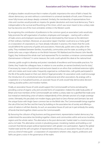#### **Association and Civic Participation - Dr Adrian Pabst**

of religious leaders would ensure that in matters of public importance the voice of faith is heard. No vibrant democracy can exist without a commitment to universal standards of truth, even if these are never fully known and always deeply contested. Similarly, the membership of representatives from cities and counties would provide an impetus for greater devolution and more local democracy. That is indispensable to the survival and flourishing of the Union, which was never meant to be a unitary state but has become one of the most centralistic entities in the Western world.

By recognising the contribution of professions to the common good, an associative Lords would also help promote the self-organisation of workers, employees and managers – starting with a reform of trade unions and employers' associations that are dominated by their bosses to the detriment of their ordinary members. Moreover, an associative Upper Chamber could serve as a 'meta-guild' or a 'corporation of corporations', as I have already indicated. In practice, this means that the Lords would defend the autonomy of guilds and associations. Historically, guilds were a key pillar of the polity. They mediated between families, households, communities and the state: according to Otto Gierke (who was a major influence on the British historian F.W. Maitland and the theorist John Neville Figgis), they "embraced the whole man" and represented "for its members a miniature commonwealth (Gemeinwesen in Kleinen)". In some measure, the Lords could uphold this ideal at the national level.

Likewise, guilds sought to develop and protect standards of excellence and honourable practices. For Gierke, they "made the colleagues have, in relation to one another, an earnest brotherly love for duty", if necessary by means of punishment and exclusion based on an ethos that combined extensive rights with strict duties and moral codes. Frequently organised as confraternities, craft-guilds participated in the life of the polity based on their own distinct 'legal personality'. An associative Lords could encourage the introduction of a constitutional status for professional and other associations. By analogy with a cooperative or a mutualised business, an associate House of Lords would help democratise decisionmaking, pluralise politics and moralise markets.

Finally, an associative House of Lords would support the Commonwealth at home and abroad by providing a sense of organic unity and concrete forms of cooperation. Indeed, the wider body politic of Britain and most members of the Commonwealth are neither a unitary state nor a glorified free-trade zone but instead an interlocking union of nations independently of the ultimate sanction of a single sovereign centre. Ultimately, this peculiarly non-modern legacy goes back to Greco-Roman and Germanic law and the unique fusion with Anglo-Saxon common law on the British isles. The Commonwealth brings together the rule of the 'one', the 'few' and the 'many' by building on the associative ties of society and offering a union of nations in all their diversity. As such, an associative House of Lord can in part embody the variety of bonds that bind together citizens across the Commonwealth.

By favouring the collusion of big business and big government, representative market democracy has undermined the associative ties binding together citizens and communities within and across localities, regions and the whole nation. The alternative to the post-democratic 'market-state' is a moral economy and a civil state. This alternative consists in pluralising power, moralising markets and building a civil covenant that blends proper political representation with greater civic participation. Against the global 'market-state' and the self-corruption of representative democracy, an associative House of Lords can serve as a kind of meta-guild – a 'corporation of corporations' wherein cities, regions, professions and faiths are given a voice in the governance of the realm.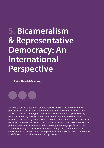## **5. Bicameralism & Representative Democracy: An International Perspective**

**Rafal Heydel-Mankoo**



The House of Lords has long suffered at the satirist's hand and is routinely portrayed as an out-of-touch, undemocratic and anachronistic private club. These hackneyed stereotypes, now indelibly embedded in popular culture, have spurred many of the calls for Lords reform; yet they obscure a plain reality: the increasingly diverse House of Lords is more representative of British society than the elected House of Commons, is better suited to serve the wider public interest and, in common with many upper houses, it performs a role as democratically vital as the lower house, through its championing of the constitution and human rights, its legislative review and executive scrutiny, and its defence of political minorities and opposition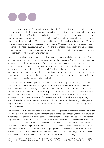Since the end of the Second World, with two exceptions (in 1974 and 2010 no party was able to win a majority of seats), each UK General Election has resulted in a majority government in which the winning party secured less than 50% of the electoral vote. In the 2005 General Election, for example, the Labour Party won a majority government of 355 seats with a 35.2% share of the vote, whilst the Conservative Party secured 198 seats with 32.4% of the vote and the Liberal Democrats won 62 seats with 22% of the vote. So it is, that in our parliamentary system, a government that represents the will of approximately one third of the nation can secure a Commons majority and enact, perhaps deeply divisive, legislation based upon a manifesto that was rejected by the majority of the electorate. A crude majoritarian might consider such a result inherently undemocratic.

Fortunately, liberal democracy is far more sophisticated and complex; it balances the interests of the electoral majority against other important values, such as the protection of human rights, the promotion of social justice and equality, and respect for political dissent, opposition and the representation of minority opinions. In advanced democracies, these fundamental values, essentially moral in nature, enjoy protection beyond the reach of the majority's will. Upper houses such as the House of Lords, comparatively free from party control and endowed with a long-term perspective untrammelled by the lower houses' short-termism, tend to be far better guardians of these basic values – often functioning as defenders of the constitution and fundamental rights.

In an effort to bring a different perspective to the political process, improve the quality of legislation and check the potential for unfettered legislative populism, many states have created upper houses with a membership that differs significantly from that of their lower houses – in some cases specifically admitting, by appointment or quota, learned experts or individuals from historically under-represented communities. This enables some second chambers, including the House of Lords, to perform a democratic role and be representative of society in a manner that is unachievable in a popularly elected lower house. In countries such as at the UK, this representative role in no way challenges the supremacy of the lower house – the Lords' relationship with the Commons is complementary rather than competitive.

Statistical analysis of the legislative process in overseas states suggests that bicameralism improves legislation and results in more predictable public policy that better reflects voter concerns, especially in countries where the policy originates in overtly partisan lower chambers.<sup>11</sup> This research also demonstrates that legislation enacted by a bicameral legislature comprising two chambers composed of different majorities and reflecting different interests, is likely to be more democratic and more representative of society's interests than legislation emanating from a unicameral state or a bicameral state with two chambers of similar composition.12 This is logical: to secure a bill's passage, a government will need to ensure that it appeals to a wider range of interests than might initially have been intended. Bills that successfully pass both chambers can be deemed to have attained the ultimate democratic accolade: a "supermajority".

<sup>11</sup> See Roger D. Congleton (2002) On The Merits of Bicameral Legislatures: Policy Stability within Partisan Polities, in: Manfred J Holler et al. (eds.), European Governance (Jahrbuch für Neue Politische Ökono- mie 22), Tübingen: Mohr Siebeck, pp. 29-49. 12 Ibid.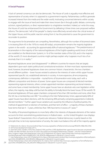#### **A Social Purpose**

A lack of cameral consensus can also be democratic. The House of Lords is arguably most effective and representative of society when it is opposed to a government majority. Parliamentary conflicts generate increased interest from the media and the wider world, motivating concerned elements within society to engage with the issue at hand and make their views known (be it through public debate, community activism, signed petitions, or direct representation to a legislative member). Indeed, as I write this essay, the House of Lords has embarrassed the Government by defeating it three times over proposed welfare reforms. The democratic "will of the people" is clearly more effectively served when the critical review of the Upper House, and the public reaction arising from it, has the potential to cause the government to reconsider its position.

The arguments for bicameralism are compelling. Nevertheless, although the number of bicameral states is increasing (from 45 in the 1970s to nearly 80 today), unicameralism remains the majority legislative system in the world – accounting for approximately 60% of national legislatures.<sup>13</sup> The predominance of bicameralism in the majority of the national legislatures of the English-speaking world (most of which are modelled on the Westminster System), in 16 of the member states of the G20, and in the majority of the world's 25 most-developed countries might perhaps explain why it appears much less of an anomaly than it is in reality.14

Bicameral legislatures arose (and disappeared)<sup>15</sup> in different countries for reasons that are largely dependent upon each state's political and constitutional evolution. At their most basic representative level, however, bicameral legislatures share one common historic characteristic: the two chambers served different polities – lower houses existed to advance the interests of voters whilst upper houses represented specific (viz. established) elements in society. A more expansive, all-encompassing contemporary definition is impossible – myriad forms of bicameralism exist today, each with a different composition and division of power. Some upper houses are composed of elected members representing regional interests, others contain appointed members representing sectional interests, and some have a mixed membership. Some upper houses have an absolute veto over legislation whilst others, the majority, may delay a bill but lack the ability to formally block the lower house. Of the world's 78 bicameral legislatures, 69 have upper chambers composed of less than 200 members and none, other than the UK, has a membership over 400.<sup>16</sup> According to the Inter-Parliamentary Union, approximately 60% of upper houses have direct elections, with the remaining 40% primarily comprising appointed or indirectly elected members.<sup>17</sup> Further upper house variations are caused by the influence of political parties, the method of appointment or election of members, and their term of office -- a majority of these chambers have terms that last  $4 - 5$  years, whilst less than 18% have terms in excess of 7 years.<sup>18</sup>

The ability of bicameral legislatures to more fairly reflect the interests of disparate elements of the nation accounts for their overwhelming predominance in federal states – as the United Kingdom now displays "quasi-federal" characteristics this is of particular relevance. Federal democracy is partly based on the principle that, to be truly representative of society, the state must balance the will of the majority against

14 UN Human Development Index (2011).

<sup>13</sup> Parliaments At a Glance: Structure [online] http://www.ipu.org/parline-e/ParliamentsStructure.asp?REGION=All&LANG=ENG

<sup>15</sup> Denmark (1953), Sweden (1970), New Zealand (1954), and Peru (1993) abolished their upper houses to become unicameral states. 16 With over 800 members, the House of Lords is the world's second largest Parliamentary chamber – only the Chinese National Party Congress is larger. Inter-Parliamentary Union (2012) Parliaments At a Glance: Seats [online] http://www.ipu.org/parline-e/ NumberofSeats.asp?LANG=ENG&REGION\_SUB\_REGION=All&typesearch=5&Submit1=Launch+query

<sup>17</sup> Inter-Parliamentary Union (2012) Parliaments At a Glance: Electoral systems [online] http://www.ipu.org/parline-e/ElectoralSystem. asp?LANG=ENG&REGION\_SUB\_REGION=All&typesearch=5&Submit1=Launch+query

*<sup>24</sup>* asp?LANG=ENG&REGION\_SUB\_REGION=All&typesearch=5&Submit1=Launch+query 18 Inter-Parliamentary Union (2012) Parliaments At a Glance: Term [online] http://www.ipu.org/parline-e/TermofParliament.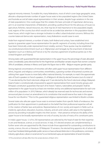#### **Bicameralism and Representative Democracy - Rafal Heydel-Mankoo**

regional minority interests. To enable this, many federations, most of which cover large geographic areas, allocate a disproportionate number of upper house seats to less-populated regions (the United States and Australia accord all states equal representation in their senates, despite huge variations in the size of state populations). One could argue that this violates the basic principle of majoritarian democracy, yet it is an essential characteristic of federalism, providing a political forum for the advocacy of issues (i.e. agriculture, fisheries, natural resources, etc.) that may be of vital importance to less-populated, largely rural, regions of the country but which would not be accorded due attention in the population-based lower house, which might have a stronger inclination to reflect urban/industrial concerns. Without this counter-balanced democratic representation, many federations would cease to exist.

Aside from regional interests, a number of states, both federal and unitary, have established strict quotas to guarantee upper house representation for specific segments of society, including those that have been historically under-represented (most notably, women). These quotas may be established via constitutional entrenchment (such as in Afghanistan and Senegal), by the enactment of electoral legislation (such as in Bolivia and France) or by the voluntary agreement of political parties (as in the United Kingdom and Poland).

Among states with guaranteed female representation in the upper house, the percentage of seats allocated varies considerably: party electoral lists for the Argentinian and Brazilian senates require that women comprise 30% of candidates, whereas in Mexico and Spain this figure rises to 40% – Belgium requires gender parity.

Strong regional concentrations of minorities will often yield upper house representation from different ethnic, linguistic and religious communities; nevertheless, a growing number of bicameral countries are utilising their upper houses to more fairly reflect national diversity. For example, to match the approximate ratio of Dutch-speakers to French-speakers, 25 of Belgium's 40 directly elected Senators (out of a total of 71) are elected by the Dutch electoral college and 15 are elected by the French electoral college; Malaysia's head of state is constitutionally empowered to appoint representatives from racial minority groups; and Ethiopia's constitution guarantees that each of its historic "nations, nationalities and peoples" shall be represented in the upper house by at least one member and by one additional representative for each one million of its population. In 2010, Pakistan, which already has reserved seats for technocrats and women, announced plans to enact an amendment to its constitution that would reserve four seats in the upper house for non-Muslims.<sup>19</sup> Prior to this, guaranteed religious representation was limited to Muslim scholars.

Several states also allocate upper house seats to eminent leaders from specific fields of endeavour; the justification for their appointment is predicated on the belief that their professional expertise will aid in the creation of better laws and policies. Representatives of civic society and experts in fields such as medicine, agriculture, education, business, industry, and arts and culture, add value to the legislative process by providing invaluable insights into their sectors – their presence enhances the ability of the upper house to be broadly representative not only of society, but also of many of its constituent parts.

In India's upper house, 12 of its 250 representatives are selected by the head of state for their expertise in arts and literature, science, or social services. In Italy, 315 elected senators are complemented by a further seven who are appointed for life, these include those appointed for outstanding contributions to society, science, the arts or literature. Of Malaysia's 70 senators, the elected king appoints 44, of whom 40 must have "rendered distinguishable public service or have achieved distinction in the professions, commerce, industry, agriculture, culture or social service" or, as mentioned supra, are representative of racial minorities.

19 This amendment will take effect from the senate elections of March 2012.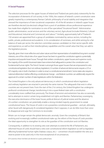#### **A Social Purpose**

The selection processes for the upper houses of Ireland and Thailand are particularly noteworthy for the incorporation of elements of civil society. In the 1930s, the creators of Ireland's current constitution were greatly inspired by a contemporary Roman Catholic philosophy of social stability and integration that stressed the importance of inter-vocational cooperation. 43 of the 60 senators in Ireland's upper house are therefore elected (via electoral college) from a pool of candidates whose professional experience has made them eligible for nomination to one of five specialised "Vocational Panels": Adminstrative (public administration, social services and the voluntary sector), Agricultural (includes fisheries), Cultural and Educational, Industrial and Commercial, and Labour.<sup>20</sup> Similarly, approximately half of Thailand's 150 senators are appointed from a group of candidates nominated by various sectors, including the public, private, professional and academic. In its consideration of nominees, and whilst aiming for a fair balance of seats per sector, the selection committee assesses candidates' on their sector-specific skills and experience, as well as their interdisciplinary capabilities and the overall value that they can add to the legislative process.

Typically, given their more reflective and sober nature and their representation of established long-term societal interests, one of the critical roles of an upper house has been to guard the constitution against a potentially impulsive and populist lower house. Through their written constitutions, upper houses and supreme courts, the majority of the world's bicameral states have entrenched safeguards to protect the constitution and fundamental human rights. The French Senate is amongst those upper houses that are empowered to veto constitutional legislation (but not ordinary legislation). A number of advanced democracies require a 2/3 or 3/5 majority vote in both chambers in order to enact a constitutional amendment. Some states also require a national referendum before effecting constitutional change – and federal countries can additionally require the approval of a certain number of state legislatures within the federation.

The United Kingdom is the only advanced democracy in which constitutional reform legislation and ordinary legislation are enacted in precisely the same manner. The safeguards that exist in other countries are not present here. From the start of the 21st century, the United Kingdom has undergone profound constitutional change, transforming it into a quasi-federal state with a constitution considerably more codified than previously. The threat of terrorism and extremism has also occasionally led to attempts to restrict certain long-established civil rights and liberties. Parliamentary sovereignty, the executive dominance of the lower house, political distrust of judicial review and the absence of a written constitution can potentially enable a strong-minded majority government to wreak constitutional havoc. The House of Lords is not a powerless constitutional guardian – and yet, ultimately, when faced with dangerously ill-considered legislation that it opposes, it can do little more than voice its disapproval and urge the Commons to reconsider.

Britain can no longer remain the global democratic anomaly. Given the complexity of Britain's fastevolving and increasingly codified constitutional make-up, the reform of the House of Lords provides the ideal opportunity to strengthen its role as the guardian of the constitution and civil liberties.

Consequently, in addition to its existing veto over attempts to extend the life of Parliament, any reformed House of Lords should have a veto over constitutional reform legislation as well as legislation affecting fundamental human rights (habeas corpus, etc.) – convention should establish the veto as a reserve power to be used only in the most exceptional of circumstances.

20 In practice, these members are elected on a party-political basis.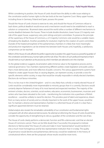Whilst considering its position, the House of Lords should have the ability to refer issues relating to the constitution and/or human rights to the law lords at the new Supreme Court. Many upper houses, including those in Germany, Poland and Spain, possess this power.

Should the House of Lords choose to exercise its veto, and should the House of Commons refuse to back down, political deadlock would ensue and a mechanism would need to be established to reach a solution or compromise. Bicameral states around the world utilise a number of different mechanisms to resolve deadlock between the houses. These include double dissolution, lower house 2/3 majority override of the upper house, suspensory veto, joint sittings and joint committees. To preserve the principle of the supremacy of the House of Commons, a 2/3 majority Commons vote would be a suitable means of breaking the deadlock. Another possibility for resolution might be the creation of a joint committee. Outside of the heated atmosphere of the parliamentary chambers it is likely that more meaningful and productive negotiations can be entered into between both Houses until, hopefully, a satisfactory compromise can be reached.

Reform of the House of Lords affords the perfect opportunity to position the upper house as a powerful guardian of the constitution and democracy, human rights and the rule of law. This role is of such profound importance that it should merit as much attention as the process by which members are selected to sit in the chamber.

As the global evidence suggests, bicameralism adds immense value to the legislative process and to national governance. Two chambers representing different polities create legislation and public policy that is more democratic and more reflective of public concerns. The various appointments systems have helped to create upper houses that, to varying degrees, can represent society, or provide a voice for specific elements within society, in ways that would be virtually impossible in wholly elected chambers. Elections do not favour minorities.

This is no less true in the United Kingdom – and it is very likely that a wholly or mainly elected House of Lords would be considerably more impenetrable to minority groups than it is currently. Elections would certainly deprive Parliament of many of its most learned and respected members. The majority of the eminent scholars, doctors, scientists, social workers, educators, economists, businessmen, musicians and writers who have been elevated to the Lords – transforming the institution into a pantheon of British excellence – would be unlikely to stand for election. This priceless pool of talent and experience, drawn from so many sectors of society and so critically important to the work of the upper house, would be lost. To maintain a diverse and representative chamber in a reformed House of Lords it is clear that a significant appointed element must be retained.

Global analysis also reveals the remarkable vulnerability of our constitution and fundamental rights compared with all other advanced democracies. No attempt at reforming the House of Lords should fail to consider the opportunity of strengthening its role as a guardian of the constitution and the rule of law.

The House of Lords clearly performs a democratic function and fills a democratic void that an elected House of Commons cannot. There can be little doubt that, if successful, the proposal to institute elections to "democratise" the House of Lords and make it more "representative" would transform it into a much more homogenous and far less representative institution than it is today. The quality of governance would decline and parliamentary democracy would be weakened. In the history of constitutional reform, there are few proposals whose results would be more ironic.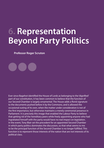## **6. Representation Beyond Party Politics**

**Professor Roger Scruton**

Ever since Bagehot identified the House of Lords as belonging to the 'dignified' part of our constitution, it has been common to believe that the function of our Second Chamber is largely ornamental. The House adds a florid signature to the documents pushed before it by the Commons, and is allowed the occasional outing of its own, when the matter under consideration is not of the first importance, but otherwise maintains a merely ceremonial presence in Parliament. It is precisely this image that enabled the Labour Party to believe that getting rid of the hereditary peers while freely appointing anyone who had ingratiated himself with the party would have no real impact on legislation. In the event, Tony Blair set the precedent for an appointed Second Chamber in which party politics dominates the discussion, so that what seems to me to be the principal function of the Second Chamber is no longer fulfilled. This function is to represent those interests of the nation that are not interests of its political class.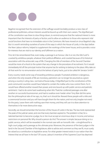

Bagehot recognised that the extension of the suffrage would inevitably produce a new class of professional politicians, whose interests would be bound up with their own careers. The dignified part of the constitution was there to slow things down, to remind everyone that the national interest is more important than the interests of party or faction, and to allow an audience to those who represent vital social functions that have no immediate voice in the Commons. We have moved on since Bagehot's day. But it is worth reminding ourselves of some of the ways in which the House of Lords, in the days before the New Labour reforms, helped to supplement the workings of the lower house, and to provide a voice for interests that are vital to our identity and fulfilment as a nation.

First, let it be remembered that, even today, a peerage is an honour. Like it or not, the title 'Lord' is coveted by ambitious people, whatever their political affiliation, and coveted because of its historical association with the aristocratic way of life. Changing the title of members of the Second Chamber would be more of a shock to the system than any change in the procedure of recruitment. For it would immediately kill off the principal motive that anyone has for wishing to belong to the place. Why take on all that work for no remuneration and at the behest of party hacks, just to be called Mr Senator Smith?

Every country needs some way of rewarding ambitious people. Frustrated ambition is dangerous, and when the only rewards of life are monetary, patriotism can no longer be assumed as a given among a country's ruling class. Just look at Russia today. A 'dignified' part to the constitutions of the post-communist countries would have helped to contain the mafias who now control them. For it would have offered another reward than power, and one bound up with public service and patriotic sentiment. I had to do some hard swallowing when Mrs Thatcher conferred peerages one after another on successful businessmen, and had to swallow even harder when Tony Blair did the same. But the philosophical side of me says, no, that's as it should be. Reward these people with a title and a ceremonial function and you will have bought them for the nation, and not only (maybe not even) for the party. Leave them with nothing save their money, and they will use it to draw attention to themselves in far more destructive ways.

Secondly, we should remember the function of the House of Lords in the law. The law lords represented the peak of the judicial career, and one that every barrister aspired to. The problem is that, for a talented barrister to become a judge, he or she must accept an enormous drop in income, and serious restrictions on personal life. Why should a person do this? The answer is simple: because doing so is a public service, which will be rewarded in the normal case with an honorific title – a knighthood for a high court judge, and a peerage as the ultimate prize. Moreover, the presence of the best judges in the land in the Second Chamber of the legislature, able to advise and comment as they see fit, must surely be valued as a contribution to legislative sense. For what greater interest exists in our nation than the interest that we all have in the law? Of course, Labour's invention of the Supreme Court has deprived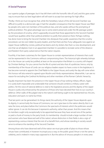### **A Social Purpose**

our superior judges of peerages: but it has left them with the honorific title of 'Lord', and this goes some way to ensure that our best legal talent will still want to accept low earnings for high office.

Thirdly, I think we must recognise that, while the hereditary nature of the old Second Chamber was difficult to justify to a democratic age, it had the valuable consequence that the Upper House was filled by people who were not members of the political class, and who spoke without the prompting of political ambition. This great advantage was to some extent preserved under the life-peerage system by the procedure of scrutiny, which supposedly ensured that those appointed to the Second Chamber would have qualities other than political ambition to justify their presence there. Perhaps nothing has done more to bring the Second Chamber into disrepute than public awareness that the scrutiny procedures can be over-ridden by party leaders, and that there are few if any safeguards now against an Upper House staffed by cronies, political has-beens and city slickers. But that is a new development, and one that we all deplore. Even in an appointed chamber it is possible to recreate some of the distance and freedom from party subservience that the nation requires.

Fourthly, it has been customary for the Upper House to contain representatives of interests that could not be represented in the Commons without compromising them. The historical right whereby bishops sit in the House can surely be justified, at least on the assumption that Britain is a country still shaped by Christian feelings. For you cannot live the life of a priest and also that of a politician; hence, only by membership of the House of Lords can our religious leaders expect to have a voice in the legislature. It has become normal to appoint the Chief Rabbi to the Upper House, and surely the day will come when this honour will also extend to agreed-upon Muslim and Hindu representatives. Meanwhile, I can see no reason for excluding the Cardinal Archbishop and other members of the Roman Catholic hierarchy.

Equally important has been the presence in the Upper House of top-ranking military officers. Again, it is surely both impossible and undesirable that someone should combine a military career with politics. Yet the voice of national defence is vital to the legislative process and the dignity of the Upper House is surely only enhanced by the presence of those who have devoted their lives to our country's defence. Other walks of life judged vital to the nation's well-being ought to be represented too: the arts, education and sport, to name but three.

That last point can be generalised. As things stand, the authority of the Upper House depends upon its dignity. It cannot bully the House of Commons, nor can it give laws to the nation directly. But it can raise the tone, and place before the Commons the spectacle of interests which the politicians would rather ignore. It can do this because it represents authority, rather than power. And this means that its members ought only exceptionally to be appointed because they have served one of the parties or paid a chunk of money to the party funds. Its membership should include a large number of men and women who have 'deserved well of the nation', whose distinction in their fields is also a sign of representing a serious interest that the rest of us benefit from, and whose standing in society would serve to enhance the standing of the Second Chamber.

Among those who have deserved well of the nation we must give pride of place to those whose virtues have contributed, in however inconspicuous a way, to the public good. Virtue is not the same as celebrity, and is indeed in many ways opposed to it. But the advice of virtuous people is in every area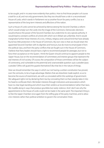#### **Representation Beyond Party Politics - Professor Roger Scruton**

to be sought, and in no area more evidently than politics. How to find those people is of course a task for us all, and not only governments. But they too should have a role in a reconstituted House of Lords, which stands in Parliament not as another forum for party conflict, but as a representative of the long-term interests and affections of the nation.

Such a House of Lords cannot be achieved by 'democratising' the Second Chamber, a reform which would simply turn the Lords into the image of the Commons. Democratic elections would enhance the power of the Second Chamber, but undermine its very special authority. It would lead to constant conflicts of a kind with which we in Britain are unfamiliar. And it would marginalise further those interests of a civic, military, religious and cultural kind that have already found too little protection in the House of Commons. My own view is that we should retain the appointed Second Chamber with its dignities and honours, but do more to emancipate it from the political class, and from the party conflicts that are fought out in the House of Commons. I believe that Party leaders should have a right to recommend people for peerages, but not to force their acceptance on the Queen. I think the Queen should continue to appoint people to the Upper House, but on the recommendation of committees and interest groups that represent the real interests of civil society. Of course, the composition of those committees will be the subject of controversy, and vulnerable to the perennial and unanswerable question: quis custodiet ipsos custodes? [Who will guard the guards themselves?] But that lies in the nature of things.

Here we should remember the ways in which our not having a written constitution has proved, over the centuries, to be a huge advantage. Matters that are elsewhere made explicit, so as to become the source of resentment, are with us concealed within the workings of government. We safeguard rights not by declaring them but by concealing them so that nobody takes it into his head to confiscate them. We broker interests through institutions and associations which have no clear legal standing and which issue their verdicts as 'recommendations' rather than laws. We muddle along in ways that produce grumbles but rarely violence. And I don't see why the appointments to the House of Lords could not be made in the same spirit. The important thing is to free the Upper Chamber once again from the stifling grip of the party machines, and to allow civic interests rather than political ambition to govern the conversation there.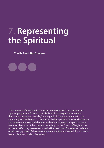# **7. Representing the Spiritual**

**The Rt Revd Tim Stevens**

"The presence of the Church of England in the House of Lords entrenches a privileged position for one particular branch of one particular religion that cannot be justified in today's society, which is not only multi-faith but increasingly non-religious. It is at odds with the aspiration of a more legitimate and representative second chamber and with recognition of a plural society. Moreover, by virtue of their position as Bishops of the Church of England, the proposals effectively reserve seats in the House of Lords for heterosexual men, or celibate gay men, of the same denomination. This unabashed discrimination has no place in a modern Parliament."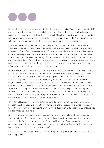So reads the charge sheet, as drawn up by the British Humanist Association. Some might claim, as the BHA do, that the case is unanswerable and that I, along with my fellow Lords Spiritual, should collect up our coats and mitres and file out quietly via the Peers' car park. After all, what possible reasons could there be to continue with ex-officio parliamentary representation for Anglican bishops in the 21st century? As always with questions of Church and State, when looking forwards it pays to look backwards first.

At a time of great social and economic upheaval when the principled foundations of the British social security system risk being shifted irrevocably, much attention has been paid to the actions and motivations of those founding welfare fathers of the 30's and 40's. The energy, vision and sheer output of the immediate post-war Government is astonishing to modern eyes, and is rightfully looked on as a high watermark in the recent past history of British governance. At that time the British people had experienced the shock of war and had grown to accept command and control governance as a military and economic necessity. Without denigrating the achievements of that Government, far-reaching reform was an easier task; indeed the need for it was a given.

Minutes held in the National Archives show that in January 1948, the question of Lords reform, and the place of bishops, was also occupying Attlee and his cabinet colleagues. But the record reveals even these great reformers running into difficulty, and grappling with many of the same problems facing ministers today – no consensus in the Cabinet, party or country over reform, a House of increasing size, the need to consider function before form, the primacy of the elected Commons, the competing demands of other priorities, balancing interests with claims to representation. This was the first Cabinet, as the Home Secretary James Chuter-Ede observed, not to have a majority of Church of England adherents as members, but ultimately Attlee came down in favour of a reform that would clip the wings of the Lords, whilst leaving the bishops as they were. Why? Because, as the record notes Attlee's deadpan observation of the bishops: "many are now Labour."

The history of Lords reform, indeed of British parliamentary and constitutional reform more generally, has been one of evolution and adaptation, of incremental change instead of big bangs. Attlee told his Cabinet colleagues: "your logical Second Chamber would depart from British tradition. Our method is to build on [the] past, adapting it."

Understanding our current place in the context of this tradition is crucial to understanding why the wider question of reform is a matter to be approached with humility and caution. It is why in their response to the Draft House of Lords Reform Bill, the Archbishops of Canterbury and York reject the case for an elected House; saying that fundamentally "the test of Lords reform is whether it will enable Parliament as a whole to serve the people better."

It is also why the specific question of the place of bishops in the Upper House is not as cut and dried as some might think.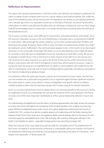#### **Reflections on Representation**

The reason why spiritual representation, in the form of the Lords Spiritual, has endured in parliament for many hundreds of years certainly owes much to cultural, religious and political tradition. But, unlike the issue of the hereditary peers, whose removal from the legislature was settled on principle by parliament over a decade ago, there is no equivalent consensus on the place of bishops. Successive Government white papers on reform have affirmed the place and role of bishops in Parliament, and even Nick Clegg's Draft Bill acknowledges that in a House that is not wholly elected there should be places for bishops of the established church.

The 'e' word is one that causes some difficulty for Government, and parliamentarians of all shades. Since the summer I have been serving on the Joint Parliamentary Committee that is scrutinising the Draft Bill on Lords reform. Sifting through the written evidence, such as that I quoted earlier from the BHA, and listening to the parade of experts, there is little to warm the heart of a parliamentary prelate who might be looking for words of affirmation. Our continued place appears to be, in the mouths of so many expert witnesses, on the wrong side of that logic that Attlee succinctly described. But some might still argue for consistency here. We have an established church but a pluralist and multi-faith society. We are soon to legislate to enable those in line to the throne to marry anyone of any faith he or she chooses, but will continue not to allow anyone to succeed to the throne if they practice a faith that prevents them being in communion with the Church of England, of which they will be Supreme Governor. I make no complaints here. My purpose is to highlight both our ability to marry tradition with modernity for the sake of constitutional continuity, and our ease in holding together potentially contradictory principles in the interests of adjusting to gradual change.

If constitutions reflect the particular histories, cultures and circumstances of each nation, the fact that ours has evolved over a particularly long period is not an argument against further significant evolution. But it does seem to create a presumption in favour of adaptation and specific reforms to address manifest problems rather than far-reaching changes which sweep away all the familiar landmarks.

And if, as successive governments have accepted, there is a continuing benefit to this country in having an established Church, it is undoubtedly the case that the presence of the Lords Spiritual in the House of Lords is one of the most important manifestations of that special relationship between Church and State.

An understanding of establishment and the history of Spiritual representation also helps answer the question as to why only Church of England and not bishops of the Scottish, Northern Irish or Welsh churches have places. Whilst the established nature of the Church of Scotland, ratified and confirmed by the Church of Scotland Act 1921, consists of an almost complete absence of a relationship with the State, meaning that bishops of that Church have never sat in the legislature, Welsh and Irish bishops did sit in the House of Lords until their respective disestablishments in the 19th and early 20th centuries. Putting the milk back in the bottle is not therefore an option – especially if a large portion was never there to begin with.

Whilst the removal of the Lords Spiritual would not spell the immediate end of the establishment of the Church of England, it would seriously undermine it, undoubtedly calling into question the future of the established relationship and sending a strong negative signal about the place of Christianity – and religion more generally – in British public life.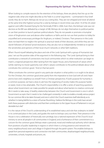#### **Representing the Spiritual - The Rt Revd Tim Stevens**

When looking to compile reasons for the retention of the bishops, there are plenty that line up on the negative side; what one might describe as the 'hide in a corner' arguments – summarised in four brief words: they do no harm. Bishops do not act as a voting bloc. They are not whipped and never all attend at the same time (the highest turnout for a vote by bishops in recent times was when 14 of the 26 voted against Lord Joffe's 'Assisted Dying for the Terminally Ill' Bill in 2006. Even then, the bishops' vote was not decisive as the Bill was defeated by a margin of 48). Bishops do not align themselves to political parties or use their position to launch partisan political attacks. They do not parade or promote a triumphal vision of Anglicanism over and above other traditions or faiths and do not use their position to lobby for unjustified and unnecessary privileges for Anglicans, or indeed, Christians. Their presence in the Lords does not lead them to neglect the spiritual or practical needs of their dioceses, and whilst they are not slavish followers of General Synod resolutions, they are also not so independently minded as to ignore the sensitivities and opinions of their local church networks or other faith traditions.

When I found myself debating the place and role of the Lords Spiritual with a group of Humanists last year, I set out the positive sides of the argument in the following way: "The Lords Spiritual bring to their contribution a network of connections into local communities which no other institution can begin to match, a regional perspective often lacking from the Upper House, and a framework of values which (while claiming no moral superiority over other's values) contributes to the political debate about what constitutes the common good..." And on that last point:

"What constitutes the common good in any particular situation is what politics is or ought to be about. For the Christian, the common good arises partly from the imperative to love God with all one's heart and to love one's neighbour as oneself. From a Christian perspective, if God's purpose for humanity is a common purpose, we have a duty to ask how the organising of society makes this purpose harder or easier, more or less attainable...The Church's responsibility is to offer a series of searching questions about what Government can make possible for people and about what barriers to creative communal life it needs to take away. A healthy relationship between the Church and Government is one in which Government accepts that it needs to be challenged constantly in order to enable a morally serious project for our common life to be taken forward, and one in which the Church examines itself relentlessly as to whether it is being faithful to a vision of human flourishing. I believe the Bishops in the Lords have served both these purposes with distinction and that their contribution to the Upper House of Parliament is not just desirable but vital."

It is the nature of the Church's understanding of its established status and role that underpins its belief in its continued place in the Lords, and guides the work its bishops carry out there. Their presence in the House is not a celebration of historically won privilege, but a national expression of the Church's local ministry to serve all people in all communities in England, and a furtherance of their commitment to a concern for the common good. Bishops retain a personal, moral and intellectual authority which derives from positions of public leadership in regions in which there is a living presence and network into every neighbourhood, town and village in England through the parish system. This enables bishops to speak from personal experience and connection into faith communities, disadvantaged neighbourhoods, universities, schools, hospitals and prisons, etc.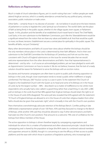#### **Reflections on Representation**

Much is made of church attendance figures, yet it is worth noting that over 1 million people per week attend Anglican services, which is a weekly attendance unmatched by any political party, voluntary association, public institution or trade union.

Other faiths – certainly those in my diocese of Leicester – do not believe it would serve the best interests of parliament or society to legislate the Lords Spiritual out of existence. The world's faiths see the place of faith as being firmly in the public square, whether it's the village square, town square, or Parliament Square. In this, pluralism and the benefits of an established church travel hand in hand. The Chief Rabbi, Lord Sacks, in his own submission to the Wakeham Commission, put it like this: "disestablishment would be a significant retreat from the notion that we share any values and beliefs at all. And that would be a path to more, not fewer, tensions. Establishment secures a central place for spirituality in the public square. This benefits all faiths, not just Christianity."

Many other denominations and faiths of course have views about whether the bishops should be the only members whose place in the Lords is determined by their faith affiliation. And in their own submission to the Draft Bill Committee the Archbishops of Canterbury and York set out the view, consistent with Church of England submissions on the issue for several decades that we would welcome representatives from the other denominations and faiths. How that 'representativeness' is determined – and by who – is of course an acknowledged problem; yet we have pledged to work with an Appointments Commission on how to resolve it. We do not believe, however, that the lack of a ready solution should be reason for Parliament to serve the bishops with an eviction notice.

Secularists and Humanist campaigners are often keen to point to public polls showing opposition to bishops in the Lords, though closer examination tends to reveal a public either indifferent or largely uninformed. The February 2007 YouGov survey is a case in point. To the statement 'the Church of England is the Established Church with the Queen as its head and some of its Bishops sit in the House of Lords', by far the largest number – 48% – described it as 'a matter of indifference to me', whilst more respondents who actually had a view called it a good thing rather than a bad thing. In July 2007, a BBC poll on bishops in the Lords found that 48% agreed that Anglican bishops should retain the right to sit in the House of Lords (43% disagreed). The same poll also revealed that 65% agreed with the statement: "if Church of England bishops are allowed to sit in the House of Lords then religious leaders from other faiths should also be given that automatic right", which is broadly in line with the Church's own position.

Peers themselves overwhelmingly advocate retention of the Bishops' Bench. ComRes polling in late 2008 tested a representative sample of over 100 Peers. 45% said they favoured no change to the Bench of Bishops, while another 34% said they should be allowed to stay if other denominations and faiths had seats too (the Church's own position). That amounts to a welcome 79% vote of confidence for the bishops from fellow members of the House.

The active opposition to bishops is driven therefore largely by campaigning organisations and individuals for whom this is a matter of fundamental and often obsessional principle. I doubt that their campaigning zeal is shared by the population at large (the BHA states its combined national members and supporters amount to 28,000), though it is concerning to see the efficacy of their access to public platforms and the ease with which those in positions of legislative authority, who increasingly lack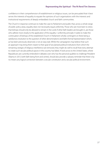confidence in their comprehension of establishment or religious issues, can be persuaded that it best serves the interests of equality to equate the opinions of such organisations with the interests and institutional requirements of deeply embedded church and faith communities.

The Church in response continues to make the case to Parliament and public that, across a whole range of public policy areas, equality does not necessarily equal uniformity. Those who are most keen to stress that bishops should only be allowed to remain in the Lords if other faith leaders are brought in, are those who adhere most closely to the application of the equality / uniformity principle. It seeks to make the continuation of bishops of the established Church in Parliament wholly contingent on there being a satisfactory resolution to the question of other denominations' and faiths' formal 'representation' which, as has been previously observed, is not an easy task. Whilst the campaigners may believe that such an approach may bring them nearer to their goal of secularised political institutions from which the remaining vestiges of religious interference are removed, they might do well to recall that every attempt to create such secular political spaces in this country has failed. A look across to the United States, where Republicans are currently embroiled in debates over who has the personal qualities to challenge President Obama in 2012 (with faith being front and centre), should also provide a salutary reminder that there is by no means any logical connection between a secular constitution and a secular political environment.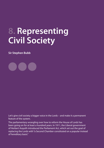## **8. Representing Civil Society**

**Sir Stephen Bubb**

Let's give civil society a bigger voice in the Lords – and make it a permanent feature of the system.

The parliamentary wrangling over how to reform the House of Lords has been going on for at least a hundred years. In 1911, the Liberal government of Herbert Asquith introduced the Parliament Act, which set out the goal of replacing the Lords with "a Second Chamber constituted on a popular instead of hereditary basis."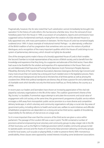

Pragmatically, however, the Act also noted that "such substitution cannot immediately be brought into operation." In the history of Lords reform, this has become a familiar story. Since the removal of most hereditary peers from the House in 1999, a succession of consultations, reports and commissions have suggested various fundamental overhauls, ranging from the creation of a fully-elected House to a fully-appointed one, with many permutations in between. Yet the House of Lords has remained largely unaltered since 1999. A classic example of institutional inertia? Perhaps – or, alternatively, a reflection of the British tradition of ad hoc pragmatism that sometimes wins out over the notions of political ideologues, and a recognition of the many important qualities which the House of Lords brings to our system of parliamentary democracy, which should not lightly be discarded.

One of the strongest points made in favour of a (mostly) appointed House of Lords is that it enables the Second Chamber to include representatives of key sectors of British society, and to benefit from the knowledge and experience that they bring. As a supporter and advocate of the third sector, I have often had cause to be thankful for the wisdom and expertise of its representatives in the House. Peers such as Lord Adebowale (Chief Executive of Turning Point), Baroness Scott (Tomorrow's People), Baroness Pitkeathley (formerly of the Carers National Association), Baroness Greengross (formerly Age Concern) and many more ensure that civil society has a strong and much-needed voice in the legislative process. Peers with a third-sector background can be found on the benches of all three parties as well as among the crossbenchers. While their political standpoints are diverse, they all share a passion for and understanding of charitable work which benefits not only the third sector itself but, as I firmly believe, the country as a whole.

In recent years our leaders and lawmakers have shown an increasing appreciation of the vital role played by voluntary organisations in the life of the nation. The coalition government's theme of the 'Big Society' is a laudable, if somewhat vague attempt to articulate the economic and social value of engagement with civil society; at the same time, the government's programme of public service reform envisages a shift away from monopolistic public-sector provision to a more diverse and competitive delivery landscape, in which voluntary and community organisations will play a crucial role. Key areas of government policy, including reforms to health and social care, welfare-to-work initiatives and offender rehabilitation programmes are dependent on a strong and active third sector, capable of shouldering responsibility for the delivery of vital services on a large scale.

So it is more important than ever that the concerns of the third sector are given a voice within parliament. The passage of the Localism Bill was a case in point. The Bill contained a number of provisions aimed at empowering local voluntary and community groups to play a larger role in the life of their local area, such as the Right to Challenge provision (which enables community groups to bid to operate public services) and the Assets of Community Value provision (allowing community groups to bid for local assets, such as pubs or playing fields, in order to preserve them). With monotonous predictability, these clauses were opposed by vested interests including some landowners' associations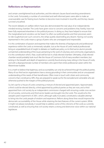#### **Reflections on Representation**

and certain unenlightened local authorities, and the relevant clauses faced wrecking amendments in the Lords. Fortunately, a number of committed and well-informed peers were able to make an unanswerable case for freeing local charities to become more involved in local life, and the key clauses survived unscathed.

The recent debates on welfare reform have also demonstrated the real value of an independentlyminded revising chamber. The Lords have given voice to concerns and problems that, frankly, have not been fully expressed elsewhere in the political process. In doing so, they have helped to ensure that the marginalised and voiceless can be heard. So often our political parties and their processes seem to ride roughshod over such concerns, the whips quietly steamrolling any dissent. Having civil society represented in the Lords means a group of peers who are unwrapped and irrepressible.

It is this combination of passion and expertise that makes the diversity of backgrounds and professional experience within the Lords so immensely valuable. Just as the House of Lords' medical professionals bring an unparalleled level of insight to debates on healthcare policy, so its third sector alumni provide unmatched understanding of the issues pertaining to the work of voluntary and community organisations. It is this contribution which, I fear, could well be lost in a fully-elected chamber. Ultimately, a fully-elected chamber would probably look much like the House of Commons: full of many excellent members, but lacking in the breadth and depth of experience currently found among many sitting in the House of Lords, and with a disproportionate number of members who spent their entire professional career within the Westminster bubble

It is a myth to believe that legitimacy and accountability can only be achieved through the political parties. Many of our third sector organisations have a strong grounding in their communities and an unsurpassed understanding of the needs of their beneficiaries. Often more in touch with citizen and community concerns than constituency MPs, they are prepared to speak out for the excluded and vulnerable who are otherwise pushed to the margins of the political process.

So, let's opt for a House of Lords containing a mixture of elected and appointed peers. Approximately a third could be elected directly, a third appointed by political parties as they are now, and a third appointed from civil society by an independent commission charged with ensuring a wide cross section of civil society, community and third sector leaders are brought into the Lords. This would echo the 'people's peers' experiment of 2001, which, although sadly truncated, constituted a valuable attempt to bring into the Lords people of wisdom and experience. Reform along these lines would improve the democratic accountability of the House while retaining the best features of the current system. While it might not please everybody, it would help to address some of the criticisms of the Lords as currently constituted, as well as ensuring that civil society retains a strong and distinctive voice within our national legislature.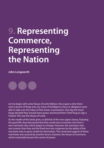## **9. Representing Commerce, Representing the Nation**

**John Longworth**

Let me begin with some House of Lords folklore. Once upon a time there were a bunch of thugs who, by virtue of intelligence, force or allegiance were able to take over the tribes of their lesser counterparts. One day the lesser thugs decided they should share power and forced their Chief Thug to sign a Charter. This was the House of Lords.

As the wealth of the lands grew, so did that of the new upper classes. Enjoying the good life, they discovered that they could exact economic rent from a new merchant class which began to emerge. However, the merchant class was smarter than they and the fixed rent was outgrown by the ability of the merchant class to grow wealth for themselves. The continued support of these merchants was assured by another forum of power, the House of Commons, which eventually became the centre of power.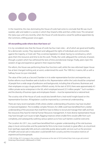In the meantime, the class dominating the House of Lords had come to conclude that life was much sweeter, safer and stable in a society in which they 'shared' a little and then a little more. This remained the status quo until very recently, when the House of Lords became a vessel for political appointees by the Commons, shifting power once again.

#### **All storytelling aside where does that leave us?**

It is my considered view that the House of Lords has four main roles – all of which are good and healthy for a democratic society. They represent and safeguard the rights of individuals and communities against the majority, or 'mob rule'. They scrutinise legislation in detail, having no constituency, which gives them the resources and time to do this work. Thirdly, the Lords safeguard the continuity of power, through a system which has withstood the tests of time and electoral change. Finally, peers inject the wisdom of age and experience gained in their respective fields.

Pre-reform, the House was performing these four functions well, whilst the new reformed Upper House has at best changed nothing and, at worst, undermined this work. The 1999 Act, it seems, left us with a halfway house (no pun intended).

The value of the Lords as a Second Chamber is in its wider representative function and expertise; any further reforms must therefore seek to build on this. Representation within the Lords should be comprised of people from a wide range of professions and backgrounds, including that of business. Businesses and their employees occupy a huge portion of British society. At the start of 2010, there were approximately 4.5 million private sector enterprises in the UK, which employed around 22.5 million people.<sup>21</sup> Such numbers – and the diversity of business types and employees therein – must be represented at a national level.

The scrutiny role of the House of Lords would also benefit from a 'real-world' insight based on this representative function. All legislation could be improved by a commercial understanding.

There are many recent examples of bills where a better understanding of business may have resulted in improved legislation. The incredibly complex Pensions Act 2008 could have benefitted from a better understanding of the processes that small firms have to follow to recruit and manage their staff, and how few resources they have for internal Human Resources management. A more diverse representative House may have brought such issues to light, flagging instances where smaller firms would suffer from such complexity, and subsequently outlining various options as to how such barriers could be overcome.

The Localism Act 2011, too, could have benefitted from a greater understanding of the role business plays in local communities and the potential for firms to be more involved, to great effect, at a local level. Even (perhaps especially) bills and acts ostensibly purely about public services such as the provision of health and social care or education could benefit from scrutiny and the innovative instincts of experienced businesspeople.

<sup>21</sup> BIS (24 May 2011), Increase in the number of businesses at the start of 2010 [online] http://nds.coi.gov.uk/content/ Detail.aspx?NewsAreaID=2&ReleaseID=419640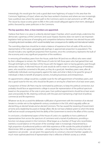#### **Representing Commerce, Representing the Nation - John Longworth**

Interestingly, this would give the Lords a good deal more 'legitimacy of output' in this area than the Commons' 'legitimacy of input', where very few have worked in business and where we now increasingly have a political class where the career path to the Commons seems to start and end in an MP's office. The clause by clause scrutiny given to Bills in the Lords would safeguard against short-term, ideological politics favoured by career politicians in the Commons.

#### **The key question, then, is how members are appointed.**

I believe that there is no value in a directly elected Upper Chamber, which would simply undermine the democratic supremacy of the Commons and cause impasse. Business does not want to see important legislation held up because of wrangling and competitive behaviour between two elected Houses with competing electoral mandates, which would inevitably have consequences for stability and international markets.

The overriding objectives should be to retain a balance of experience from all walks of life and to be representative of the nation geographically (perhaps in approximate proportion to population). This should include a very significant proportion from business, since this constituency represents the bulk of the economy and a very significant proportion of the workforce.

In removing all hereditary peers from the House, aside from 90 (and two ex officio) who were voted by their colleagues to remain, the 1999 House of Lords Act left those peers who had gained their seat through birthright as the members of the House with the biggest claim to having gained a seat through democratic means. A reformed House of Lords would do well to retain its working group of hereditary peers, who would be converted to life peers, as they do a good job. Hereditary peers were, after all, traditionally individuals owning property against the state, and what is likely to be good for group of individuals is likely to benefit all property owners, including businesses and entrepreneurs.

An appointments college would be a suitable route for the self-appointment of hereditary peers, and also a good route for the rest, who should be life peers or serving for a fixed term of at least seven years.

A proportion of these Life Peers may be nominated by politicians, to keep the political connection, but probably should face an appointments college to assure fair representation of the political spectrum based on the proportion of the vote in prior years. Even political appointments should be at least seven years and possibly for life, retaining continuity with the past and maintaining a high level of political, commercial and life experience.

Whatever we do, let us avoid the deliberate nullification of government with the invention of an elected Senate in a similar vein to the eighteenth-century constitution in the USA, which arguably suffers an elected King, an elected Senate and an elected Commons. This has caused the neutering of Government at home and a leadership focussed on foreign affairs. We do not have a federal system to which this lends itself and we would consequently limit the ability of the Government to tend to the affairs of this country.

In conclusion, a fundamental aspect of the House of Lords is its capability to host a plethora of representatives from across the spectrum of commerce and a myriad of professions, providing a function not always present in the Commons. What began as a chamber of 'thugs' who nevertheless exerted a crucial balance on the power of the sovereign state is increasingly characterised by a high proportion of professional politicos with little experience of life outside the political bubble of Westminster. With an appointed chamber – whose legitimacy lies in the effective scrutiny that only experience can provide – we are given the opportunity to construct a Second Chamber capable of a much more sophisticated kind of representation that is reflective of British society as a whole.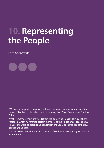## **10. Representing the People**

**Lord Adebowale**

2001 was an important year for me. It was the year I became a member of the House of Lords and also when I started a new job as Chief Executive of Turning Point.

What I remember most are words from the book Who Runs Britain by Robert Peston, in which he refers to certain members of the House of Lords as 'exotic.' He uses the word to describe us as not from the usual backgrounds of the law, politics or business.

The sense I had was that the entire House of Lords was 'exotic' not just some of its members.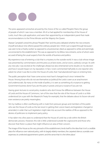The press appeared somewhat amused by the choice of the so-called 'People's Peers,' the group of people of which I was now a member. All of us had applied for membership of the House of Lords, much like a job application, and were then appointed by an independent panel that made recommendations to the Prime Minster and Her Majesty the Queen.

Alastair Campbell coined the phrase 'People's Peer' and the press debated whether the new entrants (myself and about nine others) passed the ordinary people test. I think I just scraped through because I was seen to be a 'charity worker' as opposed to a businessman, black as opposed to white and seemingly unconnected to the establishment. This was as opposed to my fellow new entrants, some of whom were accused of being the usual suspects from the worlds of business and politics.

My experience was of entering a club that is a mystery to the outside world. It was a club whose image was presented by commentators and the press as at best exotic, and at worst, uselessly corrupt. As with any new job, I was excited at the challenges ahead, but also entertained some doubts on my decision and how it would impact on my reputation. In fact, I even commented half jokily to one reporter who asked me what it was like to enter the House of Lords, that I had abandoned hope on entering here.

The public perception that I have come across most hasn't changed much since I entered the House. Among those who do not see themselves as 'political,' the Lords is seen as an anachronism and undemocratic. By many on the inside of politics, it is seen as something of a nuisance to getting Government business done if you are the party in power, and just a nuisance if you are not.

Having given lectures to social policy students who don't know the difference between the House of Lords and the House of Commons, I am of the view that the role of the House of Lords is so little understood (on a par with the Maastricht Treaty for example), that the debates about its future role and even existence are pretty meaningless.

Yet my mailbox is often overflowing with e-mails from pressure groups and members of the public who see the House of Lords as the last resort in getting their voices heard, and legislation changed or amended, in order that such legislation might take into account the realities of life as opposed to the desires of politicians to implement party policy.

It has taken me a few years to understand that the House of Lords has a role within the British democratic process. However, this role is little understood outside the cognoscenti and those who discover that there is a place that might influence an area of their concern.

The image of the House as the very pinnacle of the establishment, lends itself to the idea that it isn't a credible place for influence over national policy, with its largely elderly members; the carpeted silence; scandals over expenses; its unelected appointment system; and the sense that it is the 'other place.'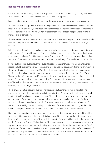### **Reflections on Representation**

But now that I am a member, I see hereditary peers who are expert, hard-working, socially concerned and effective. I also see appointed peers who are exactly the opposite.

I understand that speaking in every debate is not the same as speaking rarely but being listened to.

The problem with being a peer is that the privileges of title are not really privileges anymore. They are labels that are not commonly understood and often sneered at. The institution is seen as undemocratic because democracy means we vote, when in fact democracy is a process not just an act. Voting is merely a tool of democracy.

The alternatives to the House of Lords as it now stands, such as voting people into the Second Chamber, seem strangely undemocratic when you know what it takes in money, influence and time to get elected.

Selecting peers through an electoral process will not make the House of Lords more representative of society at large. An inevitable danger of two elected chambers is political 'gridlock', where both assert their supreme authority. The US is a case in point: Government effectively closes down when neither Senate nor Congress will give way, because both claim the authority of being elected by the people.

Some would disagree, but I believe the House of Lords does need members who are experts in their respective fields such as the worlds of science and medicine, as well as economists and welfare reformers. These include pioneers such Sir Robert Winston, whose research has led to advances in reproductive medicine and has championed the cause of couples affected by infertility, and Baroness Tanni Grey-Thompson (Britain's most successful Paralympic athlete), who has fought to protect the rights of disabled people. This wisdom and experience could be lost if an appointed House was replaced with an elected one. The reality is that few would want to devote themselves to those internal party processes which are a necessary part of standing for election.

The dilemma is that an appointed Lords is hard to justify, but somehow it works. Despite being unelected, we can still be representatives of civil society. By 'civil' I mean a society where people work together to achieve change on a particular issue. The Lords can help to achieve change because they are not elected. Party allegiances still apply (unless you are a crossbencher like me), yet for those peers who fail to follow the party line, the wrath of the whips is not as keenly felt as in the Commons. Peers are less constrained by the particular dogma or ideology of a political party, and this gives them the freedom to express their individual views without fear of being sacked or losing their seat.

Now I am not suggesting for a moment that the House of Lords is some radical body and that all those who frequent its corridors are liberal-minded champions of the dispossessed. But this freedom, which I have mentioned can and does provide us with the opportunity to amend laws so that they reflect the needs of real people. Take the Welfare Reform Bill. Key coalition proposals such as cuts to employment support allowance have been met with stiff opposition in the Lords. For the Health and Social Care Bill also, dozens of amendments have been tabled by peers, including changes which reflect the needs of patients. Yes, the government in power nearly always achieves its ambitions in the end, but not without first making concessions which make for an inclusive society.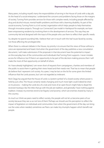#### **Representing the People - Lord Adebowale**

Many peers, including myself, marry the responsibilities of serving in the House of Lords with a day job. As the head of a social enterprise, I understand the concerns and problems facing those on the margins of society. Turning Point provides services for those with complex needs, including people affected by drug and alcohol misuse, mental health problems and those with a learning disability. As part of the social economy, Turning Point is a 'civil society' organisation which helps people to help themselves through innovative projects. Through our Connected Care model in Hartlepool for example, we have been empowering residents by involving them in the development of services. This way they are community-led and designed with the input of the people who use them to reflect their specific needs.

So, despite my 'grand-sounding' title, I believe that I am in touch with the 'real' issues faced by society, not those affecting the privileged elite.

When there is a relevant debate in the House, my priority is to ensure that the views of those without a voice are represented and heard. And when the government of the day publishes a new consultation document, I will make submissions if the proposals in that document have the potential to impact on the everyday lives of the communities and individuals that Turning Point supports. I never mistake access for influence, but if there is an opportunity to be part of the decision-making process then I will make the most of that opportunity on behalf of others.

As I have already highlighted, I am never short of requests from campaigners, charities and members of the public to assist them in getting their views heard and their needs met. That has to mean that people do believe that I represent civil society. As a peer, I may be last on the list for some given the limited influence that the Lords possess, but I am not regarded as irrelevant.

Nick Clegg has argued that the House of Lords is a 'potent symbol' of a closed society where power is held by just a few. The House certainly needs changing and much more light could indeed be shed on its process – making the Lords less of a club and more of an open forum might help to dispel the received mystique. But the titles that go with the job are tradition, and generally I have nothing against tradition. Instead, my enemies tend to be 'bigotry' and 'poverty', which are enemies shared by many in this country.

As much as I think we peers need to reflect society, the people will not let us become peers of our society because they see us as not 'one of them.' Perhaps we should use this perception to reflect the impact of legislation on individuals and communities. Even when the government of the day can bring out the votes when needed, sometimes we Peers can make tiny triumphs happen which benefit real people.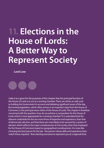# **11. Elections in the House of Lords: A Better Way to Represent Society**

**Lord Low**

I take it as a given for the purposes of this chapter that the principal function of the House of Lords is to act as a revising chamber. There are others as well, such as holding the Government to account and debating significant issues of the day. But revising legislation, which often arrives in an imperfect state from the House of Commons, is the principal raison d'étre of the House of Lords. This chapter is therefore concerned with the question: how do we achieve a composition for the House of Lords which is most appropriate for a revising chamber? It is submitted that the relevant credentials for this are more those of expertise and experience, than that of democratic election, and that these are more likely to be secured by a system of election which reflects the major constituencies of civil society, than that employed for the House of Commons based on geographical constituencies. It is more like choosing the best person for the job - the person whose skills and experience best match those required - than electing someone to represent you at a regional level.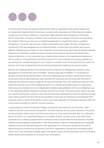From this point of view, the present method which relies on appointment by political parties and an independent Appointments Commission, actually works reasonably well. When Baroness Vadera, winding up an economic debate on 3 November 2008, referred to the contributions of the three former Chancellors, six Treasury ministers, four economists and six leaders of business as "showcasing the wisdom" of the House, this was no isolated example. But it is argued that there is a problem of legitimacy. I think this may be more a matter of perception than reality. The bases of legitimacy mentioned in the last paragraph are not inherently better or worse than one another, they are just different. Whether they are better or worse depends on the purpose for which they are being employed. However, if it is desired to replace the present system of recruiting to the Second Chamber with a system of elections, it is my contention that a method which draws on the expertise and experience which resides in civil would be far more 'fit for purpose' if it is the members of a revising chamber you are seeking. This could be designed in such a way as to combine many of the attractions of a system of election with those of appointment, by formalising and greatly broadening the present system.

But first, the inappropriateness of the present system of election for Parliamentary elections using geographical constituencies, even if modified - perhaps especially if modified - to incorporate an element of proportional representation, cannot be emphasised too strongly. It would tend to throw up the same kind of career politicians who stand for the Commons, and not those with the kind of expertise and experience being sought for the Second Chamber. The Lords would soon become more politicised and lose some of the qualities for which it is currently particularly valued: no single party holds sway and, members are more independent-minded, leading debates which are, as Wakeham put it, "less adversarial, better tempered and better informed" as a result. If the same system were to be used as is used for electing the Commons, the Lords would tend to duplicate the Commons and thus not add value. There would for the first time be the possibility of "turf wars" at constituency level between MP's and peers, and if a variant of the present system were used, especially if it involved an element of PR, the Lords could soon begin to rival the Commons' primacy.

I would propose a system of electoral colleges covering the main branches of civil society - what might be termed "constituencies of expertise" – the law, medicine, the arts, sport, education, the armed services, business, trades unions, the third sector and so on. They could nominate direct to a reformed House of Lords or, as I understand happens in a number of other countries, they could submit their nominations to a statutory appointments commission which would make the final selection. The latter method would probably be preferable in order that nominees might be independently and impartially vetted to ensure that they are fit persons to be appointed. The commission would have the task of determining the constituencies of expertise, and which organisations should have nominating rights within them. They should also validate against the agreed criteria, and the procedure which nominating bodies would have employed for arriving at their nominations.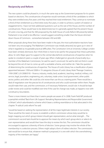#### **Reciprocity and Reform**

The new system could be phased in, in much the same way as the Government proposes for its system based on elections. The constituencies of expertise would nominate a third of the candidates to which they were entitled every five years until they reached their total entitlement. They continue to nominate a third of their entitlement as a third retire every five years, in order to achieve a system of rotation or staggered terms. I have not here addressed questions such as the size of the House, and the number of constituencies. These would have to be determined, but it is generally agreed that the present House of Lords is too big, and that the 300 proposed by the draft House of Lords Reform Bill presently before Parliament is too small to be effective. I would suggest something smaller than the future slimmed down House of Commons - somewhere between 450 and 600.

When proposals along these lines have been made in the past, the most authoritative reactions have not been very encouraging: The Wakeham Commission was initially attracted, but gave up in view of what it regarded as insuperable practical difficulties. The Constitution Unit at University College London have been similarly dismissive. But I think there is more to be said for the proposal than these authorities allow. Sir John Major gave his support to the central idea behind constituencies of expertise when he spoke to crossbench peers a couple of years ago. When challenged on grounds of practicality by a member of the Wakeham Commission, he said he wasn't convinced. He said he did not think it could be beyond the wit of man to come up with a workable scheme, and neither do I. Take the question of determining the constituencies of expertise. The House of Lords Library has a classification of peers appointed between 1958 and 2008 in 19 categories (House of Lords Library Note "Peerage Creations, 1958-2008", LLN 2008/019) – finance, industry, media, land, academic, teaching, medical, military, civil service, legal, journalism, engineering, arts, voluntary, trade union, local government, other public sector, politics and other. We could do a lot worse than use this as a starting point. There would be a deal of negotiation over the precise list of constituencies and who could nominate within them. People would make their case, and the commission, or if necessary Parliament, would rule. It should be kept under review and could be modified over time if the case for change was made, as happens now with constituency boundaries.

There is more interest out there than it seems people are aware of. In 2008, Frank Field MP produced a pamphlet entitled "Back from Life Support: Remaking Representative and Responsible Government in Britain", which adumbrated a scheme which bears a striking resemblance to that advocated in this chapter. "A radical Lords reform" he said:

"would be based on seeking the representation of all the major legitimate interests in our society. There would be the need, of course, to establish a reform commission whose duty would be to begin mapping out which group interest should gain representation, and at what strength…The commission's second task should be to approve the means by which each group elects or selects its own representatives and would then have the duty to review the lists. The commission should be encouraged to approve a diversity of forms of election. Some groups may involve the whole of the membership in a selection process. Others might adopt a form of indirect election. The commission's task would be to ensure that, whatever method is proposed, it is one with which the overwhelming majority of the members are happy."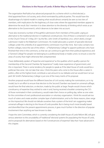#### **Elections in the House of Lords: A Better Way to Represent Society - Lord Low**

The organisation ResPublica has advanced proposals for a scheme which is a third elected, a third appointed from civil society, and a third nominated by political parties. This would have the disadvantage of a hybrid model in creating what would almost certainly be seen as two tiers of members, with implications for the legitimacy of close votes where the appointed members appear to determine the result. But I mention it to draw attention to the diversity of thinking which exists as an alternative to the Government's, which deserves to be taken into account.

I have also received a number of thoughtful submissions from members of the public urging an alternative to the traditional election in traditional constituencies. One of these is contained in an article in the Church Times of 13 May 2011 by the Rev. John Smith of Stamford, Lincs. which distils a longer submission made to the Wakeham Commission. His model advocates a system of specialist electoral colleges under the umbrella of an appointments commission much like mine. But it also contains two further colleges, twice the size of the others – a "Parliamentary College" to appoint politicians who have finished their time in the commons, so that we can continue to gain from their political experience; and a "General College" for people not belonging to a professional body or trades union, to ensure a voice for areas of society that might otherwise feel unrepresented.

I have deliberately spoken of "expertise and experience" as the qualities which qualify a person for membership of the Second Chamber. By "experience" I really mean experience of government, and this is important. There is some tendency for people to speak as if the ideal House of Lords would be a politician free zone. I do not take that view. I think the peers who come to the House after a career in politics, often at the highest level, contribute a vast amount to our debates and we would lose it at our peril. Mr Smith's Parliamentary College is just one of the many merits of his proposal.

Another proposal would have the different branches of civil society making the nominations, as in my model, but in an effort to ensure that election to the Second Chamber was based on universal suffrage, would have the final selection, or election, made by the public at large. People would choose which constituency of expertise they wished to vote in and, having received a booklet containing the CV's of those nominated in their constituency, would make their choice on polling day, rather as one votes for the committee of one's professional association or voluntary organisation. I think this would ask too much of voters and create another complex layer of administration, and so for these reasons, does verge on the impractical. We should not delude ourselves that a system of the kind I am suggesting makes universal suffrage in electing to the House of Lords possible. But in being much more broadly based and diversified than the present appointments process, it goes much further in the direction of popular involvement than anything we have known to date.

I hope the Joint Committee, which is currently considering the draft House of Lords Reform Bill, will give serious attention to the unsuitability of "traditional" electoral systems for populating the House of Lords, and to proposals for alternatives based on the "constituencies of expertise" idea that I have advanced in this chapter.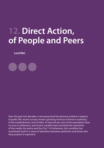## **12. Direct Action, of People and Peers**

**Lord Wei**

Over the past two decades, a worrying trend has become evident in aspects of public life: recent surveys reveal a growing mistrust of those in authority, of the establishment, and of elites. At least 60 per cent of the population have no trust in politicians, and recent scandals have tarnished the reputation of the media, the police and the City.22 In Parliament, this condition has manifested itself in a sense of alienation between politicians and those who they purport to represent.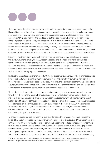The response, on the whole, has been to try to strengthen representative democracy, particularly in the House of Commons, through open primaries, special candidate lists, and in seeking to make constituency sizes more equal. There have also been signs of greater independence and focus on matters of local concern, as MPs increasingly feel the need to play to their local voters rather than to the party whip alone – a process which is aided by the remoteness of ministerial promotion in the age of coalition. Part of this response has been to seek to make the House of Lords more representative and accountable by introducing reforms that will bring about a wholly or mainly elected Second Chamber. Such a move is based on a misunderstanding of what is meant by 'representation', and may not ultimately satisfy the needs of citizens to feel more in control, to have a voice, and to be more connected with the world around them.

It seems to me that it is not necessarily more elected representatives that people desire (look at the low turnout, for example, for the European elections, and the hostility toward existing elected representatives even before the expenses scandals), but rather more representation of their niche concerns, and more ability to take direct action to address the challenges we all face. With reform of a different but still necessary nature, such challenges can begin to be addressed in a number of alternative and more fundamentally 'representative' ways.

I believe that appointed peers offer an opportunity for the fair representation of those who might not otherwise have a voice, and whose cohort has much diversity and wisdom to share. In my own areas of interest, this might increasingly include young people as our population ages, the less able physically or mentally, and ethnic groups such as the British Chinese who, despite being the third largest minority group within the UK, are widely distributed and therefore find it difficult to have representatives elected to the Lower House.

The Lords play an important role in revising legislation that may receive popular support in the shortterm, but in the long-term adversely affect groups who are unable to influence popular decisionmaking. This is true across party lines as we have seen most recently with rebellions over the recent welfare benefit caps. It was true also when Labour was in power, such as in 2009 when the Lords passed a regret motion on the introduction of identity cards which, in the wake of the July 7th bombings and September 11th 2001, must have seemed in line with public opinion, but which turned out subsequently to be both expensive and intrusive. It was not long after the then Government was defeated that the policy was dropped.

To bridge the perceived gap between the public and those with power and resources, such as the Lords, it has become increasingly popular for certain groups to take direct action. Direct action can take extreme forms, from terrorism, to rioting, to community organising and social media-driven flashmobstyle protests. It can also take a more benign but equally as effective form, such as through petitions, media campaigns, arbitration, legal action, and social action whether local or national. The online campaigning organisation '38 Degrees', for example, launched a 'Contact a Peer' campaign for people across the UK who were concerned with the proposals for NHS reform. Lord Owen and Lord Hennessy,

22 NatCen Social Research (2010) British Attitudes 26th Report [online] http://www.natcen.ac.uk/media-centre/pressreleases/2010-press-releases/british-social-attitudes-26th-report--latest-report-on-trust-in-government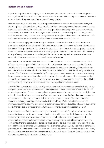### **Reciprocity and Reform**

in part as a response to this campaign, had subsequently tabled amendments and called for greater scrutiny of the Bill. Those with a specific interest and stake in the NHS found representatives in the House of Lords that took 'representation' beyond constituency divides.

Here too peers play a valuable role, not just in representing voices that might not otherwise be heard, but also in helping to advise, facilitate, and support effective direct democracy. Peers of course support countless causes, harnessing the platform that a seat in the Lords provides, to lend weight, networks and expertise to the charities, social enterprises and campaigns that they work with. The work they do collectively provides multiple pressure valves, cultivates participatory democracy through countless institutions, and in turn builds their expertise, leading to better informed decision-makers and law-making in Parliament.

This work is often hugely time-consuming, certainly much more so than MPs are able to commit to due to their nearly full-time schedules in Westminster and crammed surgeries each week. Should peers become full-time professionals I fear their ability to go deep rather than wide may disappear, and we will lose much real-time experience and expertise. Many experts may also choose not to stand for election, often preferring to deepen their knowledge of the central issues they seek to represent rather than concerning themselves with becoming media-savvy and popular.

None of this is to say that the Lords does not need reform. It is too full, could be more reflective still of the different voices and expertise in British society, and could better communicate what it does both formally and informally. Rather than introducing an electoral process for members and creating a Senate-like House comprised of full-time powerful politicians, it would perhaps be better introduce the following changes: First, the size of the Chamber could be cut in half by finding ways to invite those who do not attend to voluntarily become non-executive peers. Second, more direct means of communication could be introduced to allow the public to communicate with peers, to enable groups to feed their ideas and concerns in to the legislative process, allowing lobbying to also be conducted by more organised and effective means.

And third, the House of Lords could constantly seek to showcase its members' engagement with civil society as experts, patrons, social entrepreneurs and business people to make more visible the 'behind the scenes' impact they often have. 'Direct action' can go both ways: not only as a direct appeal from the people, but also as the direct activity of the peers themselves. Such a showcase might also highlight where gaps in expertise or representation exist, helping to guide and inform the appointments process. The Lords Information Committee is already compiling such information to this end. 'They Work for You' also contains much information about the legislative productivity of parliamentarians; perhaps it could be adapted to capture the peers' other activities, to provide a forum for further engagement with communities across the UK.

Representation can often be understood only in terms of the election of people to whom we entrust power. But it can also be through championing the voices of the weak and little heard, and ensuring that what they have to say shapes our common life as well without undermining our elected representatives. Representation can also come about through the crowd itself, through many voices coming together and people taking collective, direct action. I believe democracy works best when you have all three, and a reformed Lords, together with a reformed Commons, would do well to continue to provide such tripartite representation. Otherwise, I fear as a country we will enter a period of indecision, conflict, and further alienation from power such as has been witnessed in recent times overseas. Reform of course we must, but let us reform with great care.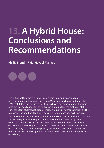# **13. A Hybrid House: Conclusions and Recommendations**

**Phillip Blond & Rafal Heydel-Mankoo**

The British political system suffers from a persistent and longstanding misrepresentation. It stems perhaps from Montesquieu's bizarre judgement in 1748 that Britain exemplified a constitution based on the separation of powers, or to put this misdiagnosis in its contemporary form, that the problems of the current system of democratic representation require its further extension and the removal of the traditional bulwarks against its dominance and exclusive rule.

The true merit of the British constitution and the source of its remarkable stability and longevity is that it recognises that representational democracy needs something besides itself to be truly democratic. From the time of the Ancient Greeks it has been recognised that crude democracy risks a permanent tyranny of the majority, a capture of the polis by self-interest and a denial of objective transcendent or common goods in the name of sectional interest and political expediency.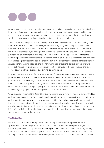As a matter of logic and a truth of history, democracy can and does (especially in times of crisis) collapse into a form of permanent rule for dominant elites, groups or races. If democracy and plurality are not necessarily synonymous, then any polity that manages to secure both is indeed virtuous and rare and worthy of global recognition, international repetition and domestic celebration.

And this is the British legacy – the United Kingdom survived the revolutions of the 19th century and the totalitarianisms of the 20th that destroyed, or seized, virtually every other European nation. And this is due in no small part to the foundational truth of the British legacy, that its mixed constitution secures the practice of democracy, by uniting it with the principle of plurality and ensuring that the democratic process is never wholly captured by one party, elite or faction. The mixed constitution blends the horizontal principle of democratic inclusion with the hierarchical or vertical principle of a common good beyond ideology or vested interest. The endemic flaw of merely democratic polities is that they cannot secure a general national good beyond the narrow interests of sectional politics, partisan interests or naked self-interest – witness Greece tearing itself apart, the paralysis of the United States, or the ongoing tragedy of a Russia captured by a criminal governing class.

Britain succeeds where others fail because its system of representative democracy represents more than party or executive interest. In the House of Lords and in the Monarchy, and in numerous other ways, it gives power and presence to groups and associations who would otherwise be permanently excluded from politics and participation. In mixing what would otherwise never be added to a purely formal constitution, Britain secures a plural polity that far outstrips that achieved by representation alone, and that heterogeneity is perhaps best exemplified by the House of Lords.

When discussing reform of the Upper Chamber, we need to bear in mind the merits of our own tradition and introduce change in the light of our foundational principles, rather than against our first principles and the constitution that animates them. We agree that it is right to introduce an elected element to the House of Lords, but would argue that such election should foster plurality and increase the mix of our mixed constitution, rather than extend the writ of a form of democracy that in practice rather than in intention, will diminish the plurality of the Upper House by extending the dominance of the party system and the power of the executive.

#### **The Status Quo**

Because the Lords is for the most part composed through patronage and a poorly understood appointments process, the public impression is still that of a House founded upon an illegitimate hereditary principle that has produced further illegitimacies. As Lord Adebowale speculates, "Among those who do not see themselves as 'political,' the Lords is seen as an anachronism and undemocratic." This impression is clearly shared by the wider legislature and has resulted in the numerous and varied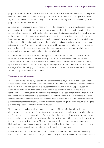#### **A Hybrid House - Phillip Blond & Rafal Heydel-Mankoo**

proposals for reform. In part, there has been no consensus on reform because there is no contemporary clarity about our own constitution and the place of the House of Lords in it. Drawing on Frank Field's argument, we need to review the primary principles of our democracy before fast forwarding further proposals for constitutional reform.

As this series of essays contends, we need to recover the traditional meaning of the Lords as upholding a politics of a wise and wider council, and of a virtue and excellence that is broader than those the current political powers exemplify. Just as rulers once needed judicious counsel, so the legislative output of the present executive needs sober reflection, reasoned debate and just amendment. The House of Commons may represent the people at one point in time, but the government of the day is beholden to the plurality of the entire electorate upon the permission and participation of whom its continued existence depends. As a country founded on and framed by a mixed constitution, we need to recover a different role for the Second Chamber, such that it can represent what a system wholly based on representative democracy would exclude: wider society itself.

Broadly put, we believe that the Commons represents the will of the people – but the Lords should represent society – and elections dominated by political parties will never deliver that. We need a 'Civil Society' Lords – that means a Second Chamber composed of all of us and our wider affiliations, sympathies and beliefs. "The important thing", writes Roger Scruton, "is to free the Upper Chamber once again from the stifling grip of the party machines, and to allow civic interests rather than political ambition to govern the conversation there."

#### **The Government's Proposals**

The idea that a wholly or mainly elected House of Lords makes our system more democratic appears a deeply problematic assumption. An elected House of Lords would soon destroy the complementary relationship that exists between the two Houses of Parliament, providing the Upper House with a competing mandate by which it could lay claim to an equal right to legitimacy and public representation – and arguably, a greater right if its members were elected more recently than those of the Lower House. Whether or not its composition was a direct duplicate of the Commons, the Lord's claim to representation of the electorate would inevitably diminish the role of the Lower House as the principal chamber of accountability, thereby weakening responsible government through creating the possibility of partisan conflict between both houses.

The damage that a mainly or wholly elected House could inflict goes further still, for the elected element would lead to the loss of most, if not all, of the independent crossbenchers, thereby reducing the Chamber's cherished independence. For there is little doubt that parties would in the end dominate the electoral process – a point tacitly acknowledged by the Government being open to the list system for any election to the Upper House. Moreover, elections imply accountability, and that would in all likelihood burden members with constituency duties, which, due to time constraints, would lead to a decline in the quality and depth of legislative revision and committee work.

In such a reformed House, most of the Chamber's eminent leaders from the professions including business, arts and other sectors of society would be unlikely to stand for election, which would severely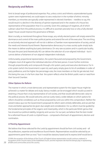### **Reciprocity and Reform**

limit its broad range of professional expertise. Plus, unless a strict and hitherto unprecedented quota system were implemented, we could expect to see a reduction in the number of ethnic minority members, as minorities are typically under-represented in elected chambers – needless to say, this would result in a decline in the diversity of opinion expressed and in the creation of a House less representative of the population than it is currently. Given this catalogue of negatives, all of which subtract value from the political process, it is difficult to ascertain precisely how or why a fully elected Upper House would improve the governance of Britain.

Most crucially, as mentioned throughout these essays, any wholly elected system will simply extend the dominance and control of the main political parties and extend the writ of the executive. The one thing an exclusively electoral approach will not do is deliver a Chamber more representative of society, and all the needs and interests found therein. Representative democracy in a mass society quite simply lacks the means to deliver anything but party dominance. On very rare occasions and in a particular locality, first past the post (and theoretically AV) can deliver the selection of a non-aligned individual – but it cannot deliver a Parliament of non-aligned independent individuals.

Unfortunately, proportional representation, the system favoured and proposed by the Government, mitigates most of all against the individual selection of the best person. It even further enshrines through proportionality and compounds through a list system, party and executive dominance. For in a list system (which the Government is open to), each party simply gives its list of candidates in order of party preference, and the higher the percentage vote, the more members on that list get elected. And this being the case, it is far from clear that the system reflects what the British public want or need from their Second Chamber.

#### **Other Options for Reform**

The manner in which a more democratic and representative system for the Upper House might be achieved is a matter for debate and study. Various models can be envisaged which would succeed in attaining a House that is truly representative of civil society, and that would add democratic value to the political process. We would welcome, and we surely need, a wider debate on which options for reform should be considered, such as those proposed by Lord Low within this compendium. Neither the present status quo nor the Government's proposals for reform seem entirely defensible, and we ask that more and better approaches be given due weight and consideration. For us, reform must be guided by the fundamental principles of the organic and mixed polity, which is the particular British genius that has ensured our political stability, longevity and success. For our part, we believe that the best model for a reformed House of Lords is a hybrid house – composed a third each of appointment, election and nomination.

#### **A Third by Appointment**

*58*

We believe that those selected for the Lords by appointment should be from civil society and – all the professions, expertise and excellences found therein. Representatives would be selected by an appointments panel then as now,<sup>23</sup> but it would be statutory based and its express brief would be to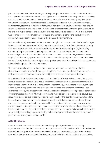#### **A Hybrid House - Phillip Blond & Rafal Heydel-Mankoo**

populate the Lords with the widest range and deepest experience of civil society. Through this route, the Upper House should select distinguished figures from an array of sectors and professions, including universities, trade unions, the civil service, the armed forces, the police, business, sports, third sector, the arts and the sciences. These Lords should be composed of doctors, nurses, teachers, managers, administrators, academics and all the varied types of labour and industry in our country. There should also be representatives of all major faiths in recognition of the contribution that religious communities make to community cohesion and the public common good. Our politics needs more than ever the wise counsel of those who are esteemed in their professions and expertise and not subject to any political whip or partisan concord. These are the crossbenchers of tomorrow.

Such a need is widely recognised, as demonstrated through Lord Low's proposals for electoral colleges based on "constituencies of expertise". With regards to appointment, Frank Field states within his essay that "there would be a need...to establish a reform commission with the duty to begin mapping out which group interests should gain representation, and at what strength." The current mode of determining membership is currently top-down, but consideration needs to be given into how we might place selection by appointment back into the hands of the groups and associations themselves. Decentralised selection by groups subject to the appointments panel is would certainly create a 'bottom up' nominations process for the Upper House.

The question as to how long civil Lords should serve is a good one – on balance we like the Government's three term principle, but again length of service should be discussed as if we want more mid- and early-career Lords and we do, some mitigation of their service might be desirable.

By providing a forum for the representation and consideration of a wide variety of views from a diverse range of groups, the House of Lords would be able to be democratically representative of society in a manner that is unachievable in the Commons and unattainable by direct election. Critically, and again guided by the principles outlined above, the essential characteristics of the House of Lords – best exemplified today by the crossbenchers – would be preserved: independence, expertise and the voicing of minority/sectional opinion. What we do not need is more politicians in thrall to the executive, but rather more 'civil Lords' loyal to society. To quote Stephen Bubb: "The recent debates on welfare reform have…demonstrated the real value of an independently-minded revising chamber. The Lords have given voice to concerns and problems that, frankly, have not been fully expressed elsewhere in the political process. In doing so, they have helped to ensure that the marginalised and voiceless can be heard. So often our political parties and their processes seem to ride roughshod over such concerns, the whips quietly steamrolling any dissent. Having civil society represented in the Lords means a group of peers who are unwrapped and irrepressible."

#### **A Third by Election**

In common with the advocates of many other reform proposals, we believe that to be truly representative of society, the Lords must also incorporate election. Concomitant with this is the frequent demand that the Upper House have some element of regional representation. Combining the two demands makes sense as election is the obvious means of selecting suitable regional representatives;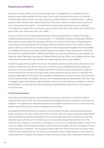### **Reciprocity and Reform**

however, to ensure a distinct voice and encourage voter re-engagement, it is imperative that the electoral system differ radically from the system used to elect members of the House of Commons. As Adrian Pabst rightly noted in his essay, "a growing number of Britons are sceptical about…political parties and the transformative impact of elections. Among the numerous indicators are...a decline of trust in government and parties…membership in the mainstream political parties has collapsed... The proportion of voters who are members and/or activists of the three main parties has tumbled from about 20% in the 1970s to less than 1% in 2000's…"

Success in the election of regional representatives is obviously dependent on offering the public a striking and popular alternative to the party system – i.e. candidates holding no official party affiliation. We therefore propose a form of non-partisan election, on a county and city basis, of representatives of the regions and conurbations, with an express remit to relate their areas to the common national good. In order to counter the loss of party support a small but appropriate budget should be available to candidates for election who amass enough signatures to qualify, though that should not preclude any citizen from standing. There is sufficient precedence for non-partisan democracy; for example, the American state of Nebraska, Guernsey, the Falkland Islands, the Isle of Man, two Canadian territories and major North American cities and counties elect representatives with no party affiliation.

As with the appointments system, the process of candidate selection and the precise allocation of seats would be examined by the reform commission. At the very least, candidates should be expected to be active community residents. We imagine that like the Commons these Lords should be subject to further elections, but the precise timings of their writing should be open to further consideration. By electing independents with a direct, demonstrable and dedicated connection to their local community we will truly and finally have 'people's peers', as well as balanced regional representation. The surest way to engage a public exhausted by traditional politics, and to revive their faith and confidence in elected representatives, is to provide them with independent representatives whom they can truly regard as one of their own.

#### **A Third by Nomination**

Public distrust of political parties notwithstanding, we cannot, and should not, avoid the political nature of the House of Lords. The House is political and a degree of party involvement is essential to its operation. The Upper House needs the experience and wisdom of politicians and, in some manner, the political work of both houses requires integration and continuity.

We propose that the final third of the House of Lords comprise members nominated by the political parties, perhaps on the basis of their share of the Commons vote. This system would also enable Britain's most accomplished politicians and statesmen to continue their productive involvement in public life, even after leaving the House of Commons, just as it would allow prospective politicians not in the Commons but involved in community or local politics to conceive of an alternative political career in the Lords. The leaders that the respective parties would nominate, and again, the time and length of service, would need to be considered – for this group it might make more sense to have the nominations tied in with the electoral cycle for the Commons, as one would not want a large majority in one election to create a permanent majority if the election swings violently the other way in subsequent national votes.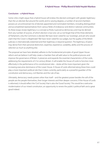#### **Conclusion – a Hybrid House**

Some critics might argue that a hybrid house will endow the elected contingent with greater legitimacy than the un-elected. But around the world, and to varying degrees, a number of second chambers possess an uncontroversial mix of elected, appointed and nominated members, including distinguished and accomplished representatives from various fields of endeavour and distinct national communities. As these essays reveal, legitimacy is a concept as finely nuanced as democracy and may be derived from any number of sources, of which election is but one. Let us not forget that of the three elements of Parliament, only the Commons is elected. We have never voted for our Sovereign, and yet who would claim that the Crown is illegitimate? We have never voted for our judges, but the quality of the British judiciary is internationally esteemed and their legitimacy is beyond question. The legitimacy of peers may derive from their personal distinction, expertise, experience, suitability, ability and the process of selection as much as anything else.

The proposal we have here detailed, adheres to the fundamental principles of good Upper House reform and we believe it will help create a chamber that will add value to the political process and improve the governance of Britain. It preserves and expands the essential characteristics of the Lords, addressing the requirements of 21st century Britain. It will enable the House of Lords to function more effectively in the performance of its constitutional roles – duties all the more important given the increasing executive dominance of the Lower House. A House of Lords reformed along these lines could play a more important political role than it does currently, particularly as a powerful guardian of the constitution and democracy, civil liberties and the rule of law.

Ultimately, democracy needs powers other than itself – and the greatest power besides the will of the people are the people themselves, their longer interests and their deeper concerns. If the House of Lords is reformed, it should reflect the 'Civil Society' that is also the 'Good Society'. This would be a welcome modernisation of our mixed constitution, an opportunity to renew the public's political faith and a great good indeed.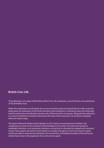### **British Civic Life**

*This publication is an output of ResPublica's British Civic Life workstream, one of the three core workstreams of The ResPublica Trust.*

*Within this workstream we will explore the use of community assets and cultural hubs for wider social and public good, the importance of the family and other social institutions in cultivating values and citizenship, and the social action and ethically instructive role of faith and other civic groups. Alongside this publication, our work on the British constitution will examine the value of the monarchy as an institution alongside others for citizens today.* 

*The Queen's Diamond Jubilee and the Olympics in 2012 mark a monumental year for Britain, and complement our work on the social and cultural heritage of civil society. From grassroots groups to embedded institutions, civic association maintains a central role in cultivating an engaged and connected society. These projects all examine social capital as an engine of progress as much as economic capital, outline principles to empowering individuals and communities, and emphasise quality of life and human relationships as key to the progression of a social common good.*